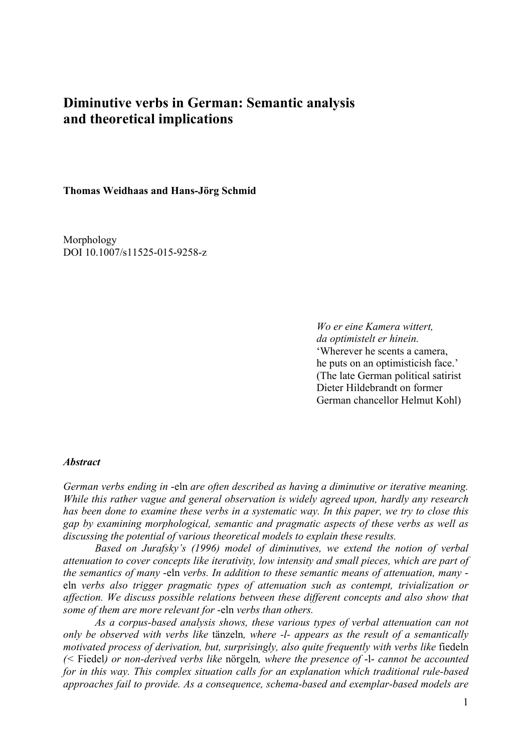# **Diminutive verbs in German: Semantic analysis and theoretical implications**

**Thomas Weidhaas and Hans-Jörg Schmid**

Morphology DOI 10.1007/s11525-015-9258-z

> *Wo er eine Kamera wittert, da optimistelt er hinein.*  'Wherever he scents a camera, he puts on an optimisticish face.' (The late German political satirist Dieter Hildebrandt on former German chancellor Helmut Kohl)

#### *Abstract*

*German verbs ending in* -eln *are often described as having a diminutive or iterative meaning. While this rather vague and general observation is widely agreed upon, hardly any research has been done to examine these verbs in a systematic way. In this paper, we try to close this gap by examining morphological, semantic and pragmatic aspects of these verbs as well as discussing the potential of various theoretical models to explain these results.* 

 *Based on Jurafsky's (1996) model of diminutives, we extend the notion of verbal attenuation to cover concepts like iterativity, low intensity and small pieces, which are part of the semantics of many* -eln *verbs. In addition to these semantic means of attenuation, many*  eln *verbs also trigger pragmatic types of attenuation such as contempt, trivialization or affection. We discuss possible relations between these different concepts and also show that some of them are more relevant for* -eln *verbs than others.* 

 *As a corpus-based analysis shows, these various types of verbal attenuation can not only be observed with verbs like* tänzeln*, where -l- appears as the result of a semantically motivated process of derivation, but, surprisingly, also quite frequently with verbs like* fiedeln *(<* Fiedel*) or non-derived verbs like* nörgeln*, where the presence of* -l- *cannot be accounted for in this way. This complex situation calls for an explanation which traditional rule-based approaches fail to provide. As a consequence, schema-based and exemplar-based models are*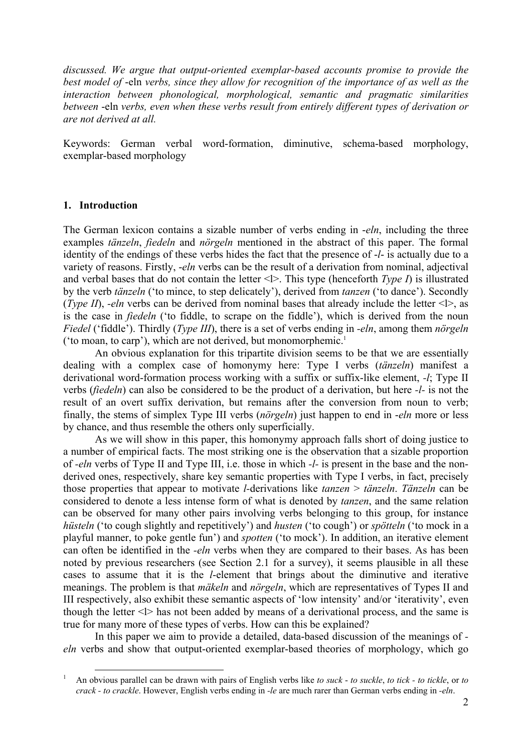*discussed. We argue that output-oriented exemplar-based accounts promise to provide the best model of* -eln *verbs, since they allow for recognition of the importance of as well as the interaction between phonological, morphological, semantic and pragmatic similarities between* -eln *verbs, even when these verbs result from entirely different types of derivation or are not derived at all.* 

Keywords: German verbal word-formation, diminutive, schema-based morphology, exemplar-based morphology

#### **1. Introduction**

The German lexicon contains a sizable number of verbs ending in -*eln*, including the three examples *tänzeln*, *fiedeln* and *nörgeln* mentioned in the abstract of this paper. The formal identity of the endings of these verbs hides the fact that the presence of -*l*- is actually due to a variety of reasons. Firstly, -*eln* verbs can be the result of a derivation from nominal, adjectival and verbal bases that do not contain the letter <l>. This type (henceforth *Type I*) is illustrated by the verb *tänzeln* ('to mince, to step delicately'), derived from *tanzen* ('to dance'). Secondly (*Type II*), *-eln* verbs can be derived from nominal bases that already include the letter  $\leq$  >, as is the case in *fiedeln* ('to fiddle, to scrape on the fiddle'), which is derived from the noun *Fiedel* ('fiddle'). Thirdly (*Type III*), there is a set of verbs ending in *-eln*, among them *nörgeln* ('to moan, to carp'), which are not derived, but monomorphemic.<sup>1</sup>

An obvious explanation for this tripartite division seems to be that we are essentially dealing with a complex case of homonymy here: Type I verbs (*tänzeln*) manifest a derivational word-formation process working with a suffix or suffix-like element, *-l*; Type II verbs (*fiedeln*) can also be considered to be the product of a derivation, but here *-l-* is not the result of an overt suffix derivation, but remains after the conversion from noun to verb; finally, the stems of simplex Type III verbs (*nörgeln*) just happen to end in -*eln* more or less by chance, and thus resemble the others only superficially.

As we will show in this paper, this homonymy approach falls short of doing justice to a number of empirical facts. The most striking one is the observation that a sizable proportion of *-eln* verbs of Type II and Type III, i.e. those in which *-l-* is present in the base and the nonderived ones, respectively, share key semantic properties with Type I verbs, in fact, precisely those properties that appear to motivate *l-*derivations like *tanzen* > *tänzeln*. *Tänzeln* can be considered to denote a less intense form of what is denoted by *tanzen*, and the same relation can be observed for many other pairs involving verbs belonging to this group, for instance *hüsteln* ('to cough slightly and repetitively') and *husten* ('to cough') or *spötteln* ('to mock in a playful manner, to poke gentle fun') and *spotten* ('to mock'). In addition, an iterative element can often be identified in the *-eln* verbs when they are compared to their bases. As has been noted by previous researchers (see Section 2.1 for a survey), it seems plausible in all these cases to assume that it is the *l*-element that brings about the diminutive and iterative meanings. The problem is that *mäkeln* and *nörgeln*, which are representatives of Types II and III respectively, also exhibit these semantic aspects of 'low intensity' and/or 'iterativity', even though the letter <l> has not been added by means of a derivational process, and the same is true for many more of these types of verbs. How can this be explained?

In this paper we aim to provide a detailed, data-based discussion of the meanings of  *eln* verbs and show that output-oriented exemplar-based theories of morphology, which go

 <sup>1</sup> An obvious parallel can be drawn with pairs of English verbs like *to suck* - *to suckle*, *to tick - to tickle*, or *to crack - to crackle*. However, English verbs ending in *-le* are much rarer than German verbs ending in *-eln*.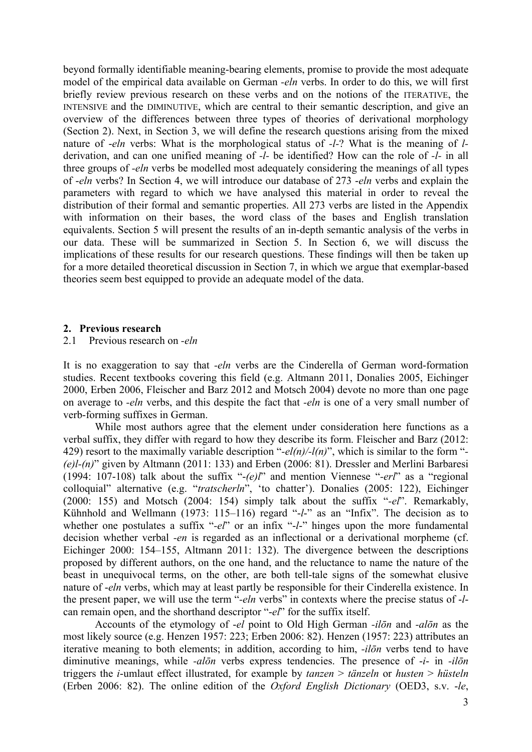beyond formally identifiable meaning-bearing elements, promise to provide the most adequate model of the empirical data available on German *-eln* verbs. In order to do this, we will first briefly review previous research on these verbs and on the notions of the ITERATIVE, the INTENSIVE and the DIMINUTIVE, which are central to their semantic description, and give an overview of the differences between three types of theories of derivational morphology (Section 2). Next, in Section 3, we will define the research questions arising from the mixed nature of -*eln* verbs: What is the morphological status of *-l-*? What is the meaning of *l*derivation, and can one unified meaning of *-l-* be identified? How can the role of *-l-* in all three groups of *-eln* verbs be modelled most adequately considering the meanings of all types of -*eln* verbs? In Section 4, we will introduce our database of 273 -*eln* verbs and explain the parameters with regard to which we have analysed this material in order to reveal the distribution of their formal and semantic properties. All 273 verbs are listed in the Appendix with information on their bases, the word class of the bases and English translation equivalents. Section 5 will present the results of an in-depth semantic analysis of the verbs in our data. These will be summarized in Section 5. In Section 6, we will discuss the implications of these results for our research questions. These findings will then be taken up for a more detailed theoretical discussion in Section 7, in which we argue that exemplar-based theories seem best equipped to provide an adequate model of the data.

#### **2. Previous research**

#### 2.1 Previous research on *-eln*

It is no exaggeration to say that *-eln* verbs are the Cinderella of German word-formation studies. Recent textbooks covering this field (e.g. Altmann 2011, Donalies 2005, Eichinger 2000, Erben 2006, Fleischer and Barz 2012 and Motsch 2004) devote no more than one page on average to *-eln* verbs, and this despite the fact that *-eln* is one of a very small number of verb-forming suffixes in German.

While most authors agree that the element under consideration here functions as a verbal suffix, they differ with regard to how they describe its form. Fleischer and Barz (2012: 429) resort to the maximally variable description "*-el(n)/-l(n)*", which is similar to the form "*- (e)l-(n)*" given by Altmann (2011: 133) and Erben (2006: 81). Dressler and Merlini Barbaresi (1994: 107-108) talk about the suffix "-*(e)l*" and mention Viennese "*-erl*" as a "regional colloquial" alternative (e.g. "*tratscherln*", 'to chatter'). Donalies (2005: 122), Eichinger (2000: 155) and Motsch (2004: 154) simply talk about the suffix "*-el*". Remarkably, Kühnhold and Wellmann (1973: 115–116) regard "-*l*-" as an "Infix". The decision as to whether one postulates a suffix "*-el*" or an infix "-l-" hinges upon the more fundamental decision whether verbal *-en* is regarded as an inflectional or a derivational morpheme (cf. Eichinger 2000: 154–155, Altmann 2011: 132). The divergence between the descriptions proposed by different authors, on the one hand, and the reluctance to name the nature of the beast in unequivocal terms, on the other, are both tell-tale signs of the somewhat elusive nature of -*eln* verbs, which may at least partly be responsible for their Cinderella existence. In the present paper, we will use the term "*-eln* verbs" in contexts where the precise status of -*l*can remain open, and the shorthand descriptor "-*el*" for the suffix itself.

Accounts of the etymology of -*el* point to Old High German *-ilōn* and *-alōn* as the most likely source (e.g. Henzen 1957: 223; Erben 2006: 82). Henzen (1957: 223) attributes an iterative meaning to both elements; in addition, according to him, *-ilōn* verbs tend to have diminutive meanings, while *-alōn* verbs express tendencies. The presence of -*i*- in *-ilōn* triggers the *i*-umlaut effect illustrated, for example by *tanzen* > *tänzeln* or *husten* > *hüsteln* (Erben 2006: 82). The online edition of the *Oxford English Dictionary* (OED3, s.v. -*le*,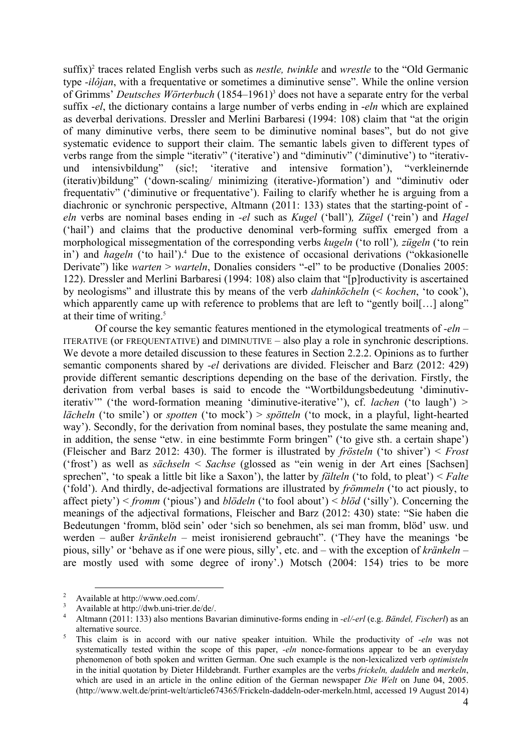suffix)<sup>2</sup> traces related English verbs such as *nestle, twinkle* and *wrestle* to the "Old Germanic type *-ilôjan*, with a frequentative or sometimes a diminutive sense". While the online version of Grimms' *Deutsches Wörterbuch* (1854–1961)<sup>3</sup> does not have a separate entry for the verbal suffix -*el*, the dictionary contains a large number of verbs ending in -*eln* which are explained as deverbal derivations. Dressler and Merlini Barbaresi (1994: 108) claim that "at the origin of many diminutive verbs, there seem to be diminutive nominal bases", but do not give systematic evidence to support their claim. The semantic labels given to different types of verbs range from the simple "iterativ" ('iterative') and "diminutiv" ('diminutive') to "iterativund intensivbildung" (sic!; 'iterative and intensive formation'), "verkleinernde (iterativ)bildung" ('down-scaling/ minimizing (iterative-)formation') and "diminutiv oder frequentativ" ('diminutive or frequentative'). Failing to clarify whether he is arguing from a diachronic or synchronic perspective, Altmann (2011: 133) states that the starting-point of  *eln* verbs are nominal bases ending in *-el* such as *Kugel* ('ball')*, Zügel* ('rein') and *Hagel* ('hail') and claims that the productive denominal verb-forming suffix emerged from a morphological missegmentation of the corresponding verbs *kugeln* ('to roll')*, zügeln* ('to rein in') and *hageln* ('to hail').<sup>4</sup> Due to the existence of occasional derivations ("okkasionelle Derivate") like *warten* > *warteln*, Donalies considers "-el" to be productive (Donalies 2005: 122). Dressler and Merlini Barbaresi (1994: 108) also claim that "[p]roductivity is ascertained by neologisms" and illustrate this by means of the verb *dahinköcheln* (< *kochen*, 'to cook'), which apparently came up with reference to problems that are left to "gently boil[...] along" at their time of writing.<sup>5</sup>

Of course the key semantic features mentioned in the etymological treatments of *-eln* – ITERATIVE (or FREQUENTATIVE) and DIMINUTIVE – also play a role in synchronic descriptions. We devote a more detailed discussion to these features in Section 2.2.2. Opinions as to further semantic components shared by *-el* derivations are divided. Fleischer and Barz (2012: 429) provide different semantic descriptions depending on the base of the derivation. Firstly, the derivation from verbal bases is said to encode the "Wortbildungsbedeutung 'diminutiviterativ'" ('the word-formation meaning 'diminutive-iterative''), cf. *lachen* ('to laugh') *> lächeln* ('to smile') or *spotten* ('to mock') > *spötteln* ('to mock, in a playful, light-hearted way'). Secondly, for the derivation from nominal bases, they postulate the same meaning and, in addition, the sense "etw. in eine bestimmte Form bringen" ('to give sth. a certain shape') (Fleischer and Barz 2012: 430). The former is illustrated by *frösteln* ('to shiver') < *Frost* ('frost') as well as *sächseln* < *Sachse* (glossed as "ein wenig in der Art eines [Sachsen] sprechen", 'to speak a little bit like a Saxon'), the latter by *fälteln* ('to fold, to pleat') < *Falte* ('fold'). And thirdly, de-adjectival formations are illustrated by *frömmeln* ('to act piously, to affect piety') < *fromm* ('pious') and *blödeln* ('to fool about') < *blöd* ('silly'). Concerning the meanings of the adjectival formations, Fleischer and Barz (2012: 430) state: "Sie haben die Bedeutungen 'fromm, blöd sein' oder 'sich so benehmen, als sei man fromm, blöd' usw. und werden – außer *kränkeln* – meist ironisierend gebraucht". ('They have the meanings 'be pious, silly' or 'behave as if one were pious, silly', etc. and – with the exception of *kränkeln* – are mostly used with some degree of irony'.) Motsch (2004: 154) tries to be more

 <sup>2</sup> Available at http://www.oed.com/.

<sup>3</sup> Available at http://dwb.uni-trier.de/de/.

<sup>4</sup> Altmann (2011: 133) also mentions Bavarian diminutive-forms ending in *-el/-erl* (e.g. *Bändel, Fischerl*) as an alternative source.

This claim is in accord with our native speaker intuition. While the productivity of *-eln* was not systematically tested within the scope of this paper, *-eln* nonce-formations appear to be an everyday phenomenon of both spoken and written German. One such example is the non-lexicalized verb *optimisteln* in the initial quotation by Dieter Hildebrandt. Further examples are the verbs *frickeln, daddeln* and *merkeln*, which are used in an article in the online edition of the German newspaper *Die Welt* on June 04, 2005. (http://www.welt.de/print-welt/article674365/Frickeln-daddeln-oder-merkeln.html, accessed 19 August 2014)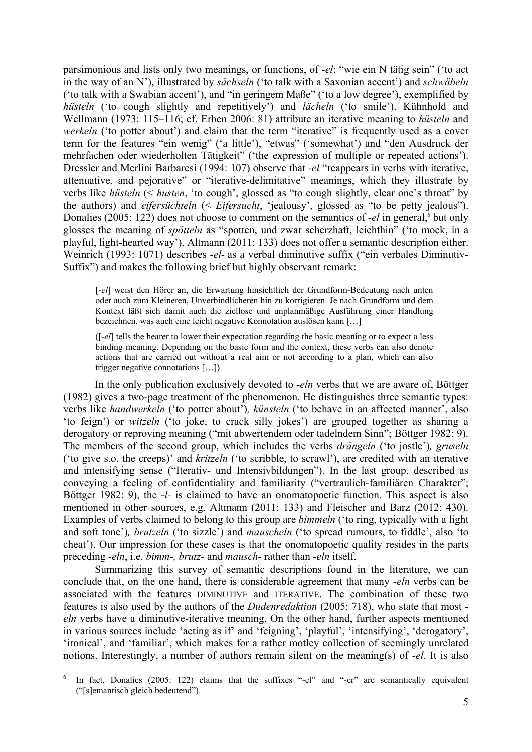parsimonious and lists only two meanings, or functions, of *-el*: "wie ein N tätig sein" ('to act in the way of an N'), illustrated by *sächseln* ('to talk with a Saxonian accent') and *schwäbeln*  ('to talk with a Swabian accent'), and "in geringem Maße" ('to a low degree'), exemplified by *hüsteln* ('to cough slightly and repetitively') and *lächeln* ('to smile'). Kühnhold and Wellmann (1973: 115–116; cf. Erben 2006: 81) attribute an iterative meaning to *hüsteln* and *werkeln* ('to potter about') and claim that the term "iterative" is frequently used as a cover term for the features "ein wenig" ('a little'), "etwas" ('somewhat') and "den Ausdruck der mehrfachen oder wiederholten Tätigkeit" ('the expression of multiple or repeated actions'). Dressler and Merlini Barbaresi (1994: 107) observe that *-el* "reappears in verbs with iterative, attenuative, and pejorative" or "iterative-delimitative" meanings, which they illustrate by verbs like *hüsteln* (< *husten*, 'to cough', glossed as "to cough slightly, clear one's throat" by the authors) and *eifersüchteln* (< *Eifersucht*, 'jealousy', glossed as "to be petty jealous"). Donalies (2005: 122) does not choose to comment on the semantics of *-el* in general,<sup>6</sup> but only glosses the meaning of *spötteln* as "spotten, und zwar scherzhaft, leichthin" ('to mock, in a playful, light-hearted way'). Altmann (2011: 133) does not offer a semantic description either. Weinrich (1993: 1071) describes *-el-* as a verbal diminutive suffix ("ein verbales Diminutiv-Suffix") and makes the following brief but highly observant remark:

[-*el*] weist den Hörer an, die Erwartung hinsichtlich der Grundform-Bedeutung nach unten oder auch zum Kleineren, Unverbindlicheren hin zu korrigieren. Je nach Grundform und dem Kontext läßt sich damit auch die ziellose und unplanmäßige Ausführung einer Handlung bezeichnen, was auch eine leicht negative Konnotation auslösen kann […]

([-*el*] tells the hearer to lower their expectation regarding the basic meaning or to expect a less binding meaning. Depending on the basic form and the context, these verbs can also denote actions that are carried out without a real aim or not according to a plan, which can also trigger negative connotations […])

In the only publication exclusively devoted to *-eln* verbs that we are aware of, Böttger (1982) gives a two-page treatment of the phenomenon. He distinguishes three semantic types: verbs like *handwerkeln* ('to potter about')*, künsteln* ('to behave in an affected manner', also 'to feign') or *witzeln* ('to joke, to crack silly jokes') are grouped together as sharing a derogatory or reproving meaning ("mit abwertendem oder tadelndem Sinn"; Böttger 1982: 9). The members of the second group, which includes the verbs *drängeln* ('to jostle')*, gruseln* ('to give s.o. the creeps)' and *kritzeln* ('to scribble, to scrawl'), are credited with an iterative and intensifying sense ("Iterativ- und Intensivbildungen"). In the last group, described as conveying a feeling of confidentiality and familiarity ("vertraulich-familiären Charakter"; Böttger 1982: 9), the -*l-* is claimed to have an onomatopoetic function. This aspect is also mentioned in other sources, e.g. Altmann (2011: 133) and Fleischer and Barz (2012: 430). Examples of verbs claimed to belong to this group are *bimmeln* ('to ring, typically with a light and soft tone')*, brutzeln* ('to sizzle') and *mauscheln* ('to spread rumours, to fiddle', also 'to cheat'). Our impression for these cases is that the onomatopoetic quality resides in the parts preceding *-eln*, i.e. *bimm-, brutz-* and *mausch-* rather than *-eln* itself.

Summarizing this survey of semantic descriptions found in the literature, we can conclude that, on the one hand, there is considerable agreement that many -*eln* verbs can be associated with the features DIMINUTIVE and ITERATIVE. The combination of these two features is also used by the authors of the *Dudenredaktion* (2005: 718), who state that most  *eln* verbs have a diminutive-iterative meaning. On the other hand, further aspects mentioned in various sources include 'acting as if' and 'feigning', 'playful', 'intensifying', 'derogatory', 'ironical', and 'familiar', which makes for a rather motley collection of seemingly unrelated notions. Interestingly, a number of authors remain silent on the meaning(s) of *-el*. It is also

<sup>&</sup>lt;sup>6</sup> In fact, Donalies (2005: 122) claims that the suffixes "-el" and "-er" are semantically equivalent ("[s]emantisch gleich bedeutend").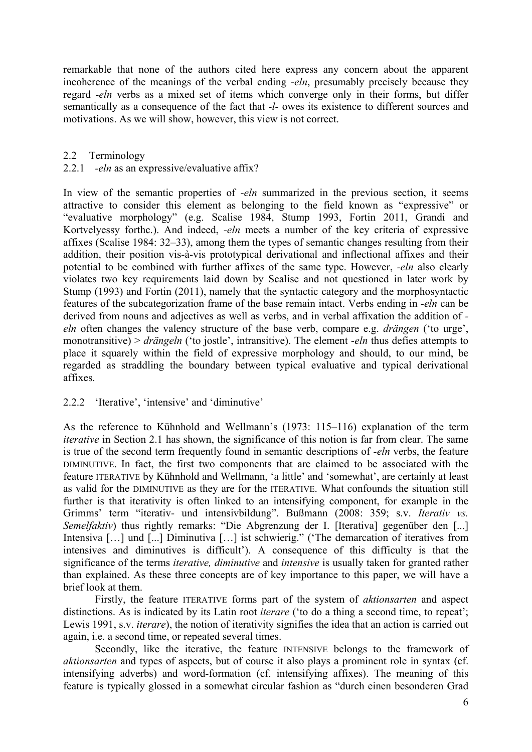remarkable that none of the authors cited here express any concern about the apparent incoherence of the meanings of the verbal ending -*eln*, presumably precisely because they regard -*eln* verbs as a mixed set of items which converge only in their forms, but differ semantically as a consequence of the fact that *-l-* owes its existence to different sources and motivations. As we will show, however, this view is not correct.

2.2 Terminology

### 2.2.1 *-eln* as an expressive/evaluative affix?

In view of the semantic properties of *-eln* summarized in the previous section, it seems attractive to consider this element as belonging to the field known as "expressive" or "evaluative morphology" (e.g. Scalise 1984, Stump 1993, Fortin 2011, Grandi and Kortvelyessy forthc.). And indeed, *-eln* meets a number of the key criteria of expressive affixes (Scalise 1984: 32–33), among them the types of semantic changes resulting from their addition, their position vis-à-vis prototypical derivational and inflectional affixes and their potential to be combined with further affixes of the same type. However, *-eln* also clearly violates two key requirements laid down by Scalise and not questioned in later work by Stump (1993) and Fortin (2011), namely that the syntactic category and the morphosyntactic features of the subcategorization frame of the base remain intact. Verbs ending in *-eln* can be derived from nouns and adjectives as well as verbs, and in verbal affixation the addition of  *eln* often changes the valency structure of the base verb, compare e.g. *drängen* ('to urge', monotransitive) > *drängeln* ('to jostle', intransitive). The element *-eln* thus defies attempts to place it squarely within the field of expressive morphology and should, to our mind, be regarded as straddling the boundary between typical evaluative and typical derivational affixes.

### 2.2.2 'Iterative', 'intensive' and 'diminutive'

As the reference to Kühnhold and Wellmann's (1973: 115–116) explanation of the term *iterative* in Section 2.1 has shown, the significance of this notion is far from clear. The same is true of the second term frequently found in semantic descriptions of *-eln* verbs, the feature DIMINUTIVE. In fact, the first two components that are claimed to be associated with the feature ITERATIVE by Kühnhold and Wellmann, 'a little' and 'somewhat', are certainly at least as valid for the DIMINUTIVE as they are for the ITERATIVE. What confounds the situation still further is that iterativity is often linked to an intensifying component, for example in the Grimms' term "iterativ- und intensivbildung". Bußmann (2008: 359; s.v. *Iterativ vs. Semelfaktiv*) thus rightly remarks: "Die Abgrenzung der I. [Iterativa] gegenüber den [...] Intensiva […] und [...] Diminutiva […] ist schwierig." ('The demarcation of iteratives from intensives and diminutives is difficult'). A consequence of this difficulty is that the significance of the terms *iterative, diminutive* and *intensive* is usually taken for granted rather than explained. As these three concepts are of key importance to this paper, we will have a brief look at them.

Firstly, the feature ITERATIVE forms part of the system of *aktionsarten* and aspect distinctions. As is indicated by its Latin root *iterare* ('to do a thing a second time, to repeat'; Lewis 1991, s.v. *iterare*), the notion of iterativity signifies the idea that an action is carried out again, i.e. a second time, or repeated several times.

Secondly, like the iterative, the feature INTENSIVE belongs to the framework of *aktionsarten* and types of aspects, but of course it also plays a prominent role in syntax (cf. intensifying adverbs) and word-formation (cf. intensifying affixes). The meaning of this feature is typically glossed in a somewhat circular fashion as "durch einen besonderen Grad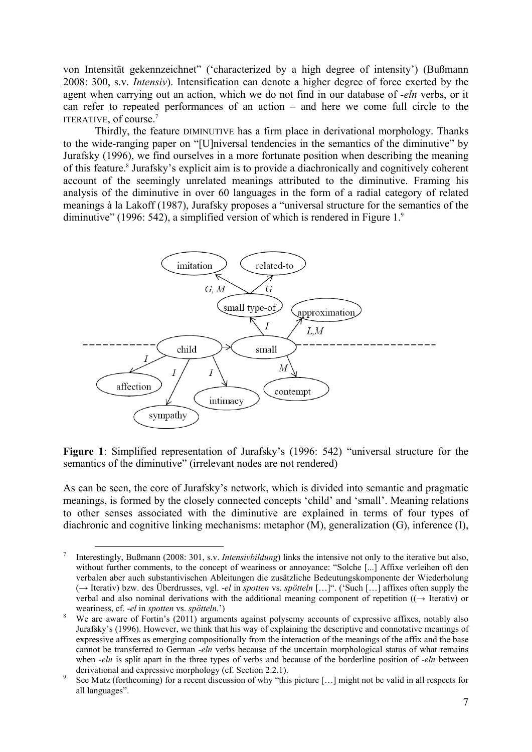von Intensität gekennzeichnet" ('characterized by a high degree of intensity') (Bußmann 2008: 300, s.v. *Intensiv*). Intensification can denote a higher degree of force exerted by the agent when carrying out an action, which we do not find in our database of *-eln* verbs, or it can refer to repeated performances of an action – and here we come full circle to the ITERATIVE, of course.<sup>7</sup>

Thirdly, the feature DIMINUTIVE has a firm place in derivational morphology. Thanks to the wide-ranging paper on "[U]niversal tendencies in the semantics of the diminutive" by Jurafsky (1996), we find ourselves in a more fortunate position when describing the meaning of this feature.<sup>8</sup> Jurafsky's explicit aim is to provide a diachronically and cognitively coherent account of the seemingly unrelated meanings attributed to the diminutive. Framing his analysis of the diminutive in over 60 languages in the form of a radial category of related meanings à la Lakoff (1987), Jurafsky proposes a "universal structure for the semantics of the diminutive" (1996: 542), a simplified version of which is rendered in Figure 1.<sup>9</sup>



**Figure 1**: Simplified representation of Jurafsky's (1996: 542) "universal structure for the semantics of the diminutive" (irrelevant nodes are not rendered)

As can be seen, the core of Jurafsky's network, which is divided into semantic and pragmatic meanings, is formed by the closely connected concepts 'child' and 'small'. Meaning relations to other senses associated with the diminutive are explained in terms of four types of diachronic and cognitive linking mechanisms: metaphor (M), generalization (G), inference (I),

 <sup>7</sup> Interestingly, Bußmann (2008: 301, s.v. *Intensivbildung*) links the intensive not only to the iterative but also, without further comments, to the concept of weariness or annoyance: "Solche [...] Affixe verleihen oft den verbalen aber auch substantivischen Ableitungen die zusätzliche Bedeutungskomponente der Wiederholung (→ Iterativ) bzw. des Überdrusses, vgl. -*el* in *spotten* vs. *spötteln* […]". ('Such […] affixes often supply the verbal and also nominal derivations with the additional meaning component of repetition ( $\rightarrow$  Iterativ) or weariness, cf. *-el* in *spotten* vs. *spötteln.*')

We are aware of Fortin's (2011) arguments against polysemy accounts of expressive affixes, notably also Jurafsky's (1996). However, we think that his way of explaining the descriptive and connotative meanings of expressive affixes as emerging compositionally from the interaction of the meanings of the affix and the base cannot be transferred to German *-eln* verbs because of the uncertain morphological status of what remains when -*eln* is split apart in the three types of verbs and because of the borderline position of *-eln* between derivational and expressive morphology (cf. Section 2.2.1).<br>9 Sec Mutz (forthogonize) for a recent disquasion of why "this

See Mutz (forthcoming) for a recent discussion of why "this picture […] might not be valid in all respects for all languages".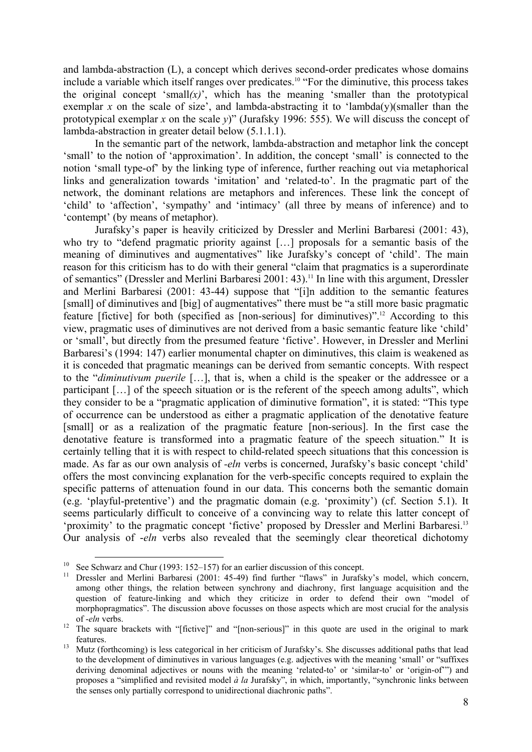and lambda-abstraction (L), a concept which derives second-order predicates whose domains include a variable which itself ranges over predicates.10 "For the diminutive, this process takes the original concept 'small $(x)$ ', which has the meaning 'smaller than the prototypical exemplar x on the scale of size', and lambda-abstracting it to 'lambda(y)(smaller than the prototypical exemplar *x* on the scale *y*)" (Jurafsky 1996: 555). We will discuss the concept of lambda-abstraction in greater detail below (5.1.1.1).

In the semantic part of the network, lambda-abstraction and metaphor link the concept 'small' to the notion of 'approximation'. In addition, the concept 'small' is connected to the notion 'small type-of' by the linking type of inference, further reaching out via metaphorical links and generalization towards 'imitation' and 'related-to'. In the pragmatic part of the network, the dominant relations are metaphors and inferences. These link the concept of 'child' to 'affection', 'sympathy' and 'intimacy' (all three by means of inference) and to 'contempt' (by means of metaphor).

Jurafsky's paper is heavily criticized by Dressler and Merlini Barbaresi (2001: 43), who try to "defend pragmatic priority against […] proposals for a semantic basis of the meaning of diminutives and augmentatives" like Jurafsky's concept of 'child'. The main reason for this criticism has to do with their general "claim that pragmatics is a superordinate of semantics" (Dressler and Merlini Barbaresi 2001: 43).<sup>11</sup> In line with this argument, Dressler and Merlini Barbaresi (2001: 43-44) suppose that "[i]n addition to the semantic features [small] of diminutives and [big] of augmentatives" there must be "a still more basic pragmatic feature [fictive] for both (specified as [non-serious] for diminutives)".12 According to this view, pragmatic uses of diminutives are not derived from a basic semantic feature like 'child' or 'small', but directly from the presumed feature 'fictive'. However, in Dressler and Merlini Barbaresi's (1994: 147) earlier monumental chapter on diminutives, this claim is weakened as it is conceded that pragmatic meanings can be derived from semantic concepts. With respect to the "*diminutivum puerile* […], that is, when a child is the speaker or the addressee or a participant […] of the speech situation or is the referent of the speech among adults", which they consider to be a "pragmatic application of diminutive formation", it is stated: "This type of occurrence can be understood as either a pragmatic application of the denotative feature [small] or as a realization of the pragmatic feature [non-serious]. In the first case the denotative feature is transformed into a pragmatic feature of the speech situation." It is certainly telling that it is with respect to child-related speech situations that this concession is made. As far as our own analysis of *-eln* verbs is concerned, Jurafsky's basic concept 'child' offers the most convincing explanation for the verb-specific concepts required to explain the specific patterns of attenuation found in our data. This concerns both the semantic domain (e.g. 'playful-pretentive') and the pragmatic domain (e.g. 'proximity') (cf. Section 5.1). It seems particularly difficult to conceive of a convincing way to relate this latter concept of 'proximity' to the pragmatic concept 'fictive' proposed by Dressler and Merlini Barbaresi.13 Our analysis of -*eln* verbs also revealed that the seemingly clear theoretical dichotomy

<sup>&</sup>lt;sup>10</sup> See Schwarz and Chur (1993: 152–157) for an earlier discussion of this concept.<br><sup>11</sup> Dressler and Merlini Barbaresi (2001: 45-49) find further "flaws" in Jurafsky's model, which concern, among other things, the relation between synchrony and diachrony, first language acquisition and the question of feature-linking and which they criticize in order to defend their own "model of morphopragmatics". The discussion above focusses on those aspects which are most crucial for the analysis

of *-eln* verbs.<br><sup>12</sup> The square brackets with "[fictive]" and "[non-serious]" in this quote are used in the original to mark

features.<br>13 Mutz (forthcoming) is less categorical in her criticism of Jurafsky's. She discusses additional paths that lead to the development of diminutives in various languages (e.g. adjectives with the meaning 'small' or "suffixes deriving denominal adjectives or nouns with the meaning 'related-to' or 'similar-to' or 'origin-of'") and proposes a "simplified and revisited model *à la* Jurafsky", in which, importantly, "synchronic links between the senses only partially correspond to unidirectional diachronic paths".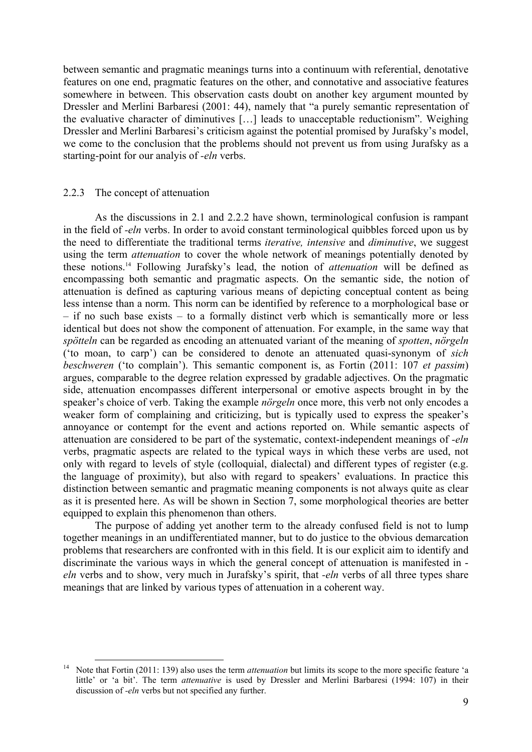between semantic and pragmatic meanings turns into a continuum with referential, denotative features on one end, pragmatic features on the other, and connotative and associative features somewhere in between. This observation casts doubt on another key argument mounted by Dressler and Merlini Barbaresi (2001: 44), namely that "a purely semantic representation of the evaluative character of diminutives […] leads to unacceptable reductionism". Weighing Dressler and Merlini Barbaresi's criticism against the potential promised by Jurafsky's model, we come to the conclusion that the problems should not prevent us from using Jurafsky as a starting-point for our analyis of *-eln* verbs.

#### 2.2.3 The concept of attenuation

As the discussions in 2.1 and 2.2.2 have shown, terminological confusion is rampant in the field of *-eln* verbs. In order to avoid constant terminological quibbles forced upon us by the need to differentiate the traditional terms *iterative, intensive* and *diminutive*, we suggest using the term *attenuation* to cover the whole network of meanings potentially denoted by these notions.14 Following Jurafsky's lead, the notion of *attenuation* will be defined as encompassing both semantic and pragmatic aspects. On the semantic side, the notion of attenuation is defined as capturing various means of depicting conceptual content as being less intense than a norm. This norm can be identified by reference to a morphological base or – if no such base exists – to a formally distinct verb which is semantically more or less identical but does not show the component of attenuation. For example, in the same way that *spötteln* can be regarded as encoding an attenuated variant of the meaning of *spotten*, *nörgeln* ('to moan, to carp') can be considered to denote an attenuated quasi-synonym of *sich beschweren* ('to complain'). This semantic component is, as Fortin (2011: 107 *et passim*) argues, comparable to the degree relation expressed by gradable adjectives. On the pragmatic side, attenuation encompasses different interpersonal or emotive aspects brought in by the speaker's choice of verb. Taking the example *nörgeln* once more, this verb not only encodes a weaker form of complaining and criticizing, but is typically used to express the speaker's annoyance or contempt for the event and actions reported on. While semantic aspects of attenuation are considered to be part of the systematic, context-independent meanings of *-eln* verbs, pragmatic aspects are related to the typical ways in which these verbs are used, not only with regard to levels of style (colloquial, dialectal) and different types of register (e.g. the language of proximity), but also with regard to speakers' evaluations. In practice this distinction between semantic and pragmatic meaning components is not always quite as clear as it is presented here. As will be shown in Section 7, some morphological theories are better equipped to explain this phenomenon than others.

The purpose of adding yet another term to the already confused field is not to lump together meanings in an undifferentiated manner, but to do justice to the obvious demarcation problems that researchers are confronted with in this field. It is our explicit aim to identify and discriminate the various ways in which the general concept of attenuation is manifested in *eln* verbs and to show, very much in Jurafsky's spirit, that *-eln* verbs of all three types share meanings that are linked by various types of attenuation in a coherent way.

 <sup>14</sup> Note that Fortin (2011: 139) also uses the term *attenuation* but limits its scope to the more specific feature 'a little' or 'a bit'. The term *attenuative* is used by Dressler and Merlini Barbaresi (1994: 107) in their discussion of *-eln* verbs but not specified any further.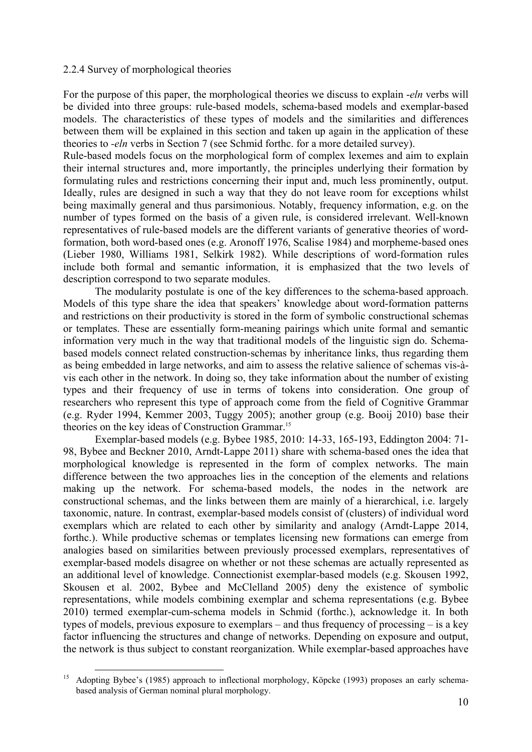#### 2.2.4 Survey of morphological theories

For the purpose of this paper, the morphological theories we discuss to explain -*eln* verbs will be divided into three groups: rule-based models, schema-based models and exemplar-based models. The characteristics of these types of models and the similarities and differences between them will be explained in this section and taken up again in the application of these theories to *-eln* verbs in Section 7 (see Schmid forthc. for a more detailed survey).

Rule-based models focus on the morphological form of complex lexemes and aim to explain their internal structures and, more importantly, the principles underlying their formation by formulating rules and restrictions concerning their input and, much less prominently, output. Ideally, rules are designed in such a way that they do not leave room for exceptions whilst being maximally general and thus parsimonious. Notably, frequency information, e.g. on the number of types formed on the basis of a given rule, is considered irrelevant. Well-known representatives of rule-based models are the different variants of generative theories of wordformation, both word-based ones (e.g. Aronoff 1976, Scalise 1984) and morpheme-based ones (Lieber 1980, Williams 1981, Selkirk 1982). While descriptions of word-formation rules include both formal and semantic information, it is emphasized that the two levels of description correspond to two separate modules.

The modularity postulate is one of the key differences to the schema-based approach. Models of this type share the idea that speakers' knowledge about word-formation patterns and restrictions on their productivity is stored in the form of symbolic constructional schemas or templates. These are essentially form-meaning pairings which unite formal and semantic information very much in the way that traditional models of the linguistic sign do. Schemabased models connect related construction-schemas by inheritance links, thus regarding them as being embedded in large networks, and aim to assess the relative salience of schemas vis-àvis each other in the network. In doing so, they take information about the number of existing types and their frequency of use in terms of tokens into consideration. One group of researchers who represent this type of approach come from the field of Cognitive Grammar (e.g. Ryder 1994, Kemmer 2003, Tuggy 2005); another group (e.g. Booij 2010) base their theories on the key ideas of Construction Grammar.15

Exemplar-based models (e.g. Bybee 1985, 2010: 14-33, 165-193, Eddington 2004: 71- 98, Bybee and Beckner 2010, Arndt-Lappe 2011) share with schema-based ones the idea that morphological knowledge is represented in the form of complex networks. The main difference between the two approaches lies in the conception of the elements and relations making up the network. For schema-based models, the nodes in the network are constructional schemas, and the links between them are mainly of a hierarchical, i.e. largely taxonomic, nature. In contrast, exemplar-based models consist of (clusters) of individual word exemplars which are related to each other by similarity and analogy (Arndt-Lappe 2014, forthc.). While productive schemas or templates licensing new formations can emerge from analogies based on similarities between previously processed exemplars, representatives of exemplar-based models disagree on whether or not these schemas are actually represented as an additional level of knowledge. Connectionist exemplar-based models (e.g. Skousen 1992, Skousen et al. 2002, Bybee and McClelland 2005) deny the existence of symbolic representations, while models combining exemplar and schema representations (e.g. Bybee 2010) termed exemplar-cum-schema models in Schmid (forthc.), acknowledge it. In both types of models, previous exposure to exemplars – and thus frequency of processing – is a key factor influencing the structures and change of networks. Depending on exposure and output, the network is thus subject to constant reorganization. While exemplar-based approaches have

<sup>&</sup>lt;sup>15</sup> Adopting Bybee's (1985) approach to inflectional morphology, Köpcke (1993) proposes an early schemabased analysis of German nominal plural morphology.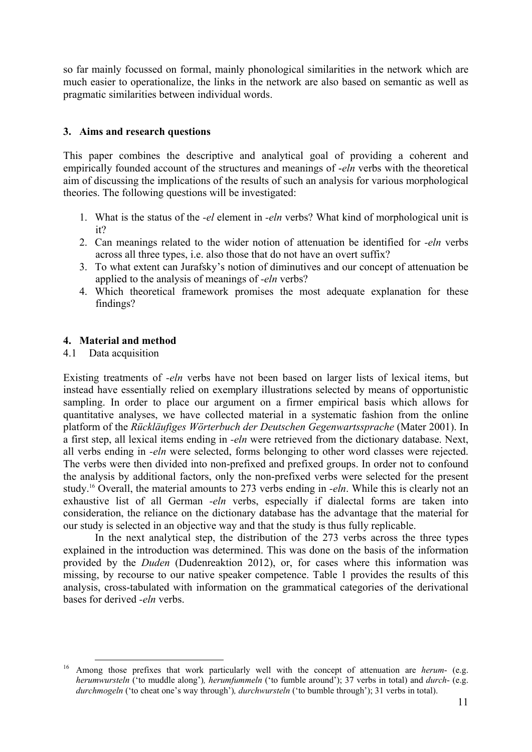so far mainly focussed on formal, mainly phonological similarities in the network which are much easier to operationalize, the links in the network are also based on semantic as well as pragmatic similarities between individual words.

# **3. Aims and research questions**

This paper combines the descriptive and analytical goal of providing a coherent and empirically founded account of the structures and meanings of -*eln* verbs with the theoretical aim of discussing the implications of the results of such an analysis for various morphological theories. The following questions will be investigated:

- 1. What is the status of the *-el* element in *-eln* verbs? What kind of morphological unit is it?
- 2. Can meanings related to the wider notion of attenuation be identified for *-eln* verbs across all three types, i.e. also those that do not have an overt suffix?
- 3. To what extent can Jurafsky's notion of diminutives and our concept of attenuation be applied to the analysis of meanings of *-eln* verbs?
- 4. Which theoretical framework promises the most adequate explanation for these findings?

# **4. Material and method**

# 4.1 Data acquisition

Existing treatments of *-eln* verbs have not been based on larger lists of lexical items, but instead have essentially relied on exemplary illustrations selected by means of opportunistic sampling. In order to place our argument on a firmer empirical basis which allows for quantitative analyses, we have collected material in a systematic fashion from the online platform of the *Rückläufiges Wörterbuch der Deutschen Gegenwartssprache* (Mater 2001). In a first step, all lexical items ending in *-eln* were retrieved from the dictionary database. Next, all verbs ending in *-eln* were selected, forms belonging to other word classes were rejected. The verbs were then divided into non-prefixed and prefixed groups. In order not to confound the analysis by additional factors, only the non-prefixed verbs were selected for the present study.16 Overall, the material amounts to 273 verbs ending in *-eln*. While this is clearly not an exhaustive list of all German *-eln* verbs, especially if dialectal forms are taken into consideration, the reliance on the dictionary database has the advantage that the material for our study is selected in an objective way and that the study is thus fully replicable.

In the next analytical step, the distribution of the 273 verbs across the three types explained in the introduction was determined. This was done on the basis of the information provided by the *Duden* (Dudenreaktion 2012), or, for cases where this information was missing, by recourse to our native speaker competence. Table 1 provides the results of this analysis, cross-tabulated with information on the grammatical categories of the derivational bases for derived *-eln* verbs.

 <sup>16</sup> Among those prefixes that work particularly well with the concept of attenuation are *herum*- (e.g. *herumwursteln* ('to muddle along')*, herumfummeln* ('to fumble around'); 37 verbs in total) and *durch*- (e.g. *durchmogeln* ('to cheat one's way through')*, durchwursteln* ('to bumble through'); 31 verbs in total).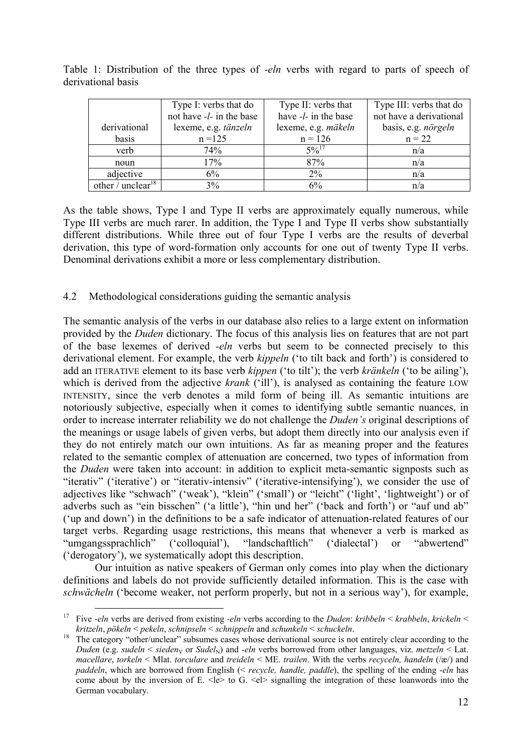|                     | Type I: verbs that do    | Type II: verbs that  | Type III: verbs that do |
|---------------------|--------------------------|----------------------|-------------------------|
|                     | not have -l- in the base | have -l- in the base | not have a derivational |
| derivational        | lexeme, e.g. tänzeln     | lexeme, e.g. mäkeln  | basis, e.g. nörgeln     |
| basis               | $n = 125$                | $n = 126$            | $n = 22$                |
| verb                | 74%                      | $5\%^{17}$           | n/a                     |
| noun                | 17%                      | 87%                  | n/a                     |
| adjective           | 6%                       | $2\%$                | n/a                     |
| other / $unclear18$ | 3%                       | 6%                   | n/a                     |

Table 1: Distribution of the three types of *-eln* verbs with regard to parts of speech of derivational basis

As the table shows, Type I and Type II verbs are approximately equally numerous, while Type III verbs are much rarer. In addition, the Type I and Type II verbs show substantially different distributions. While three out of four Type I verbs are the results of deverbal derivation, this type of word-formation only accounts for one out of twenty Type II verbs. Denominal derivations exhibit a more or less complementary distribution.

4.2 Methodological considerations guiding the semantic analysis

The semantic analysis of the verbs in our database also relies to a large extent on information provided by the *Duden* dictionary. The focus of this analysis lies on features that are not part of the base lexemes of derived *-eln* verbs but seem to be connected precisely to this derivational element. For example, the verb *kippeln* ('to tilt back and forth') is considered to add an ITERATIVE element to its base verb *kippen* ('to tilt'); the verb *kränkeln* ('to be ailing'), which is derived from the adjective *krank* ('ill'), is analysed as containing the feature LOW INTENSITY, since the verb denotes a mild form of being ill. As semantic intuitions are notoriously subjective, especially when it comes to identifying subtle semantic nuances, in order to increase interrater reliability we do not challenge the *Duden's* original descriptions of the meanings or usage labels of given verbs, but adopt them directly into our analysis even if they do not entirely match our own intuitions. As far as meaning proper and the features related to the semantic complex of attenuation are concerned, two types of information from the *Duden* were taken into account: in addition to explicit meta-semantic signposts such as "iterativ" ('iterative') or "iterativ-intensiv" ('iterative-intensifying'), we consider the use of adjectives like "schwach" ('weak'), "klein" ('small') or "leicht" ('light', 'lightweight') or of adverbs such as "ein bisschen" ('a little'), "hin und her" ('back and forth') or "auf und ab" ('up and down') in the definitions to be a safe indicator of attenuation-related features of our target verbs. Regarding usage restrictions, this means that whenever a verb is marked as "umgangssprachlich" ('colloquial'), "landschaftlich" ('dialectal') or "abwertend" ('derogatory'), we systematically adopt this description.

Our intuition as native speakers of German only comes into play when the dictionary definitions and labels do not provide sufficiently detailed information. This is the case with *schwächeln* ('become weaker, not perform properly, but not in a serious way'), for example,

 <sup>17</sup> Five -*eln* verbs are derived from existing *-eln* verbs according to the *Duden*: *kribbeln* < *krabbeln*, *krickeln*<sup>&</sup>lt;

 $kritzeln, pökeln \le pekeln, schnipseln \le schnippeln$  and  $schunkeln \le schuckeln$ .<br><sup>18</sup> The category "other/unclear" subsumes cases whose derivational source is not entirely clear according to the *Duden* (e.g. *sudeln*  $\leq$  *sieden*<sub>V</sub> or *Sudel*<sub>N</sub>) and *-eln* verbs borrowed from other languages, viz. *metzeln*  $\leq$  Lat. *macellare*, *torkeln* < Mlat. *torculare* and *treideln* < ME. *trailen*. With the verbs *recyceln, handeln* (/æ/) and *paddeln*, which are borrowed from English (< *recycle, handle, paddle*), the spelling of the ending -*eln* has come about by the inversion of E.  $\leq |e\rangle$  to G.  $\leq |e\rangle$  signalling the integration of these loanwords into the German vocabulary.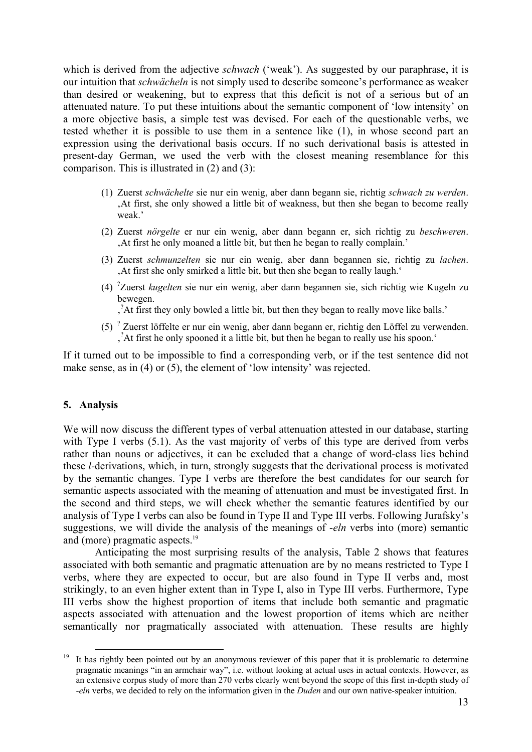which is derived from the adjective *schwach* ('weak'). As suggested by our paraphrase, it is our intuition that *schwächeln* is not simply used to describe someone's performance as weaker than desired or weakening, but to express that this deficit is not of a serious but of an attenuated nature. To put these intuitions about the semantic component of 'low intensity' on a more objective basis, a simple test was devised. For each of the questionable verbs, we tested whether it is possible to use them in a sentence like (1), in whose second part an expression using the derivational basis occurs. If no such derivational basis is attested in present-day German, we used the verb with the closest meaning resemblance for this comparison. This is illustrated in (2) and (3):

- (1) Zuerst *schwächelte* sie nur ein wenig, aber dann begann sie, richtig *schwach zu werden*. 'At first, she only showed a little bit of weakness, but then she began to become really weak.'
- (2) Zuerst *nörgelte* er nur ein wenig, aber dann begann er, sich richtig zu *beschweren*. 'At first he only moaned a little bit, but then he began to really complain.'
- (3) Zuerst *schmunzelten* sie nur ein wenig, aber dann begannen sie, richtig zu *lachen*. 'At first she only smirked a little bit, but then she began to really laugh.'
- (4) ? Zuerst *kugelten* sie nur ein wenig, aber dann begannen sie, sich richtig wie Kugeln zu bewegen.

<sup>2</sup> At first they only bowled a little bit, but then they began to really move like balls.'

 $(5)$   $\frac{1}{2}$  Zuerst löffelte er nur ein wenig, aber dann begann er, richtig den Löffel zu verwenden. <sup>2</sup>At first he only spooned it a little bit, but then he began to really use his spoon.'

If it turned out to be impossible to find a corresponding verb, or if the test sentence did not make sense, as in (4) or (5), the element of 'low intensity' was rejected.

### **5. Analysis**

We will now discuss the different types of verbal attenuation attested in our database, starting with Type I verbs  $(5.1)$ . As the vast majority of verbs of this type are derived from verbs rather than nouns or adjectives, it can be excluded that a change of word-class lies behind these *l-*derivations, which, in turn, strongly suggests that the derivational process is motivated by the semantic changes. Type I verbs are therefore the best candidates for our search for semantic aspects associated with the meaning of attenuation and must be investigated first. In the second and third steps, we will check whether the semantic features identified by our analysis of Type I verbs can also be found in Type II and Type III verbs. Following Jurafsky's suggestions, we will divide the analysis of the meanings of *-eln* verbs into (more) semantic and (more) pragmatic aspects.<sup>19</sup>

Anticipating the most surprising results of the analysis, Table 2 shows that features associated with both semantic and pragmatic attenuation are by no means restricted to Type I verbs, where they are expected to occur, but are also found in Type II verbs and, most strikingly, to an even higher extent than in Type I, also in Type III verbs. Furthermore, Type III verbs show the highest proportion of items that include both semantic and pragmatic aspects associated with attenuation and the lowest proportion of items which are neither semantically nor pragmatically associated with attenuation. These results are highly

<sup>&</sup>lt;sup>19</sup> It has rightly been pointed out by an anonymous reviewer of this paper that it is problematic to determine pragmatic meanings "in an armchair way", i.e. without looking at actual uses in actual contexts. However, as an extensive corpus study of more than 270 verbs clearly went beyond the scope of this first in-depth study of -*eln* verbs, we decided to rely on the information given in the *Duden* and our own native-speaker intuition.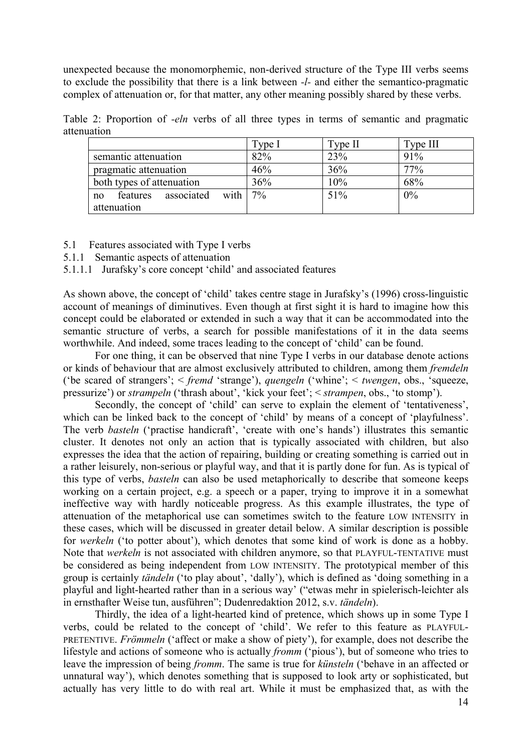unexpected because the monomorphemic, non-derived structure of the Type III verbs seems to exclude the possibility that there is a link between *-l-* and either the semantico-pragmatic complex of attenuation or, for that matter, any other meaning possibly shared by these verbs.

Table 2: Proportion of *-eln* verbs of all three types in terms of semantic and pragmatic attenuation

|                                      | Type I | Type II | Type III |
|--------------------------------------|--------|---------|----------|
| semantic attenuation                 | 82%    | 23%     | 91%      |
| pragmatic attenuation                | 46%    | 36%     | 77%      |
| both types of attenuation            | 36%    | 10%     | 68%      |
| with<br>associated<br>features<br>no | $7\%$  | 51%     | 0%       |
| attenuation                          |        |         |          |

- 5.1 Features associated with Type I verbs
- 5.1.1 Semantic aspects of attenuation
- 5.1.1.1 Jurafsky's core concept 'child' and associated features

As shown above, the concept of 'child' takes centre stage in Jurafsky's (1996) cross-linguistic account of meanings of diminutives. Even though at first sight it is hard to imagine how this concept could be elaborated or extended in such a way that it can be accommodated into the semantic structure of verbs, a search for possible manifestations of it in the data seems worthwhile. And indeed, some traces leading to the concept of 'child' can be found.

For one thing, it can be observed that nine Type I verbs in our database denote actions or kinds of behaviour that are almost exclusively attributed to children, among them *fremdeln* ('be scared of strangers'; < *fremd* 'strange'), *quengeln* ('whine'; < *twengen*, obs., 'squeeze, pressurize') or *strampeln* ('thrash about', 'kick your feet'; < *strampen*, obs., 'to stomp').

Secondly, the concept of 'child' can serve to explain the element of 'tentativeness', which can be linked back to the concept of 'child' by means of a concept of 'playfulness'. The verb *basteln* ('practise handicraft', 'create with one's hands') illustrates this semantic cluster. It denotes not only an action that is typically associated with children, but also expresses the idea that the action of repairing, building or creating something is carried out in a rather leisurely, non-serious or playful way, and that it is partly done for fun. As is typical of this type of verbs, *basteln* can also be used metaphorically to describe that someone keeps working on a certain project, e.g. a speech or a paper, trying to improve it in a somewhat ineffective way with hardly noticeable progress. As this example illustrates, the type of attenuation of the metaphorical use can sometimes switch to the feature LOW INTENSITY in these cases, which will be discussed in greater detail below. A similar description is possible for *werkeln* ('to potter about'), which denotes that some kind of work is done as a hobby. Note that *werkeln* is not associated with children anymore, so that PLAYFUL-TENTATIVE must be considered as being independent from LOW INTENSITY. The prototypical member of this group is certainly *tändeln* ('to play about', 'dally'), which is defined as 'doing something in a playful and light-hearted rather than in a serious way' ("etwas mehr in spielerisch-leichter als in ernsthafter Weise tun, ausführen"; Dudenredaktion 2012, s.v. *tändeln*).

Thirdly, the idea of a light-hearted kind of pretence, which shows up in some Type I verbs, could be related to the concept of 'child'. We refer to this feature as PLAYFUL-PRETENTIVE. *Frömmeln* ('affect or make a show of piety'), for example, does not describe the lifestyle and actions of someone who is actually *fromm* ('pious'), but of someone who tries to leave the impression of being *fromm*. The same is true for *künsteln* ('behave in an affected or unnatural way'), which denotes something that is supposed to look arty or sophisticated, but actually has very little to do with real art. While it must be emphasized that, as with the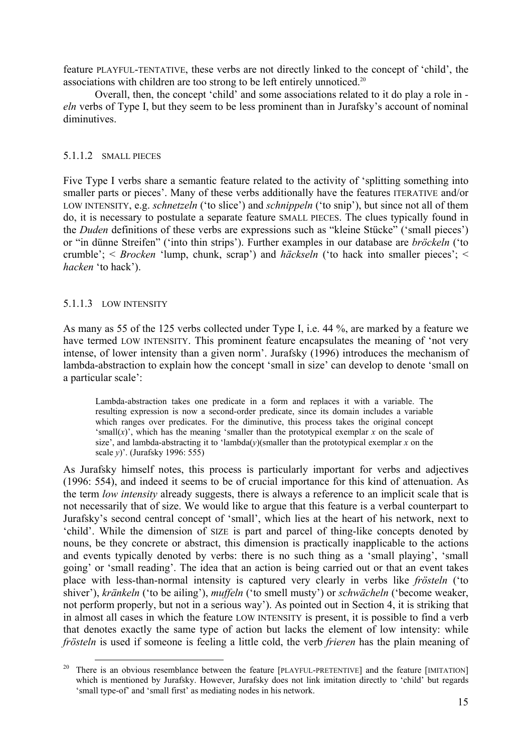feature PLAYFUL-TENTATIVE, these verbs are not directly linked to the concept of 'child', the associations with children are too strong to be left entirely unnoticed.<sup>20</sup>

Overall, then, the concept 'child' and some associations related to it do play a role in  *eln* verbs of Type I, but they seem to be less prominent than in Jurafsky's account of nominal diminutives.

### 5.1.1.2 SMALL PIECES

Five Type I verbs share a semantic feature related to the activity of 'splitting something into smaller parts or pieces'. Many of these verbs additionally have the features ITERATIVE and/or LOW INTENSITY, e.g. *schnetzeln* ('to slice') and *schnippeln* ('to snip'), but since not all of them do, it is necessary to postulate a separate feature SMALL PIECES. The clues typically found in the *Duden* definitions of these verbs are expressions such as "kleine Stücke" ('small pieces') or "in dünne Streifen" ('into thin strips'). Further examples in our database are *bröckeln* ('to crumble'; < *Brocken* 'lump, chunk, scrap') and *häckseln* ('to hack into smaller pieces'; < *hacken* 'to hack').

### 5.1.1.3 LOW INTENSITY

As many as 55 of the 125 verbs collected under Type I, i.e. 44 %, are marked by a feature we have termed LOW INTENSITY. This prominent feature encapsulates the meaning of 'not very intense, of lower intensity than a given norm'. Jurafsky (1996) introduces the mechanism of lambda-abstraction to explain how the concept 'small in size' can develop to denote 'small on a particular scale':

Lambda-abstraction takes one predicate in a form and replaces it with a variable. The resulting expression is now a second-order predicate, since its domain includes a variable which ranges over predicates. For the diminutive, this process takes the original concept 'small(*x*)', which has the meaning 'smaller than the prototypical exemplar *x* on the scale of size', and lambda-abstracting it to 'lambda $(y)$ (smaller than the prototypical exemplar *x* on the scale *y*)'. (Jurafsky 1996: 555)

As Jurafsky himself notes, this process is particularly important for verbs and adjectives (1996: 554), and indeed it seems to be of crucial importance for this kind of attenuation. As the term *low intensity* already suggests, there is always a reference to an implicit scale that is not necessarily that of size. We would like to argue that this feature is a verbal counterpart to Jurafsky's second central concept of 'small', which lies at the heart of his network, next to 'child'. While the dimension of SIZE is part and parcel of thing-like concepts denoted by nouns, be they concrete or abstract, this dimension is practically inapplicable to the actions and events typically denoted by verbs: there is no such thing as a 'small playing', 'small going' or 'small reading'. The idea that an action is being carried out or that an event takes place with less-than-normal intensity is captured very clearly in verbs like *frösteln* ('to shiver'), *kränkeln* ('to be ailing'), *muffeln* ('to smell musty') or *schwächeln* ('become weaker, not perform properly, but not in a serious way'). As pointed out in Section 4, it is striking that in almost all cases in which the feature LOW INTENSITY is present, it is possible to find a verb that denotes exactly the same type of action but lacks the element of low intensity: while *frösteln* is used if someone is feeling a little cold, the verb *frieren* has the plain meaning of

<sup>&</sup>lt;sup>20</sup> There is an obvious resemblance between the feature [PLAYFUL-PRETENTIVE] and the feature [IMITATION] which is mentioned by Jurafsky. However, Jurafsky does not link imitation directly to 'child' but regards 'small type-of' and 'small first' as mediating nodes in his network.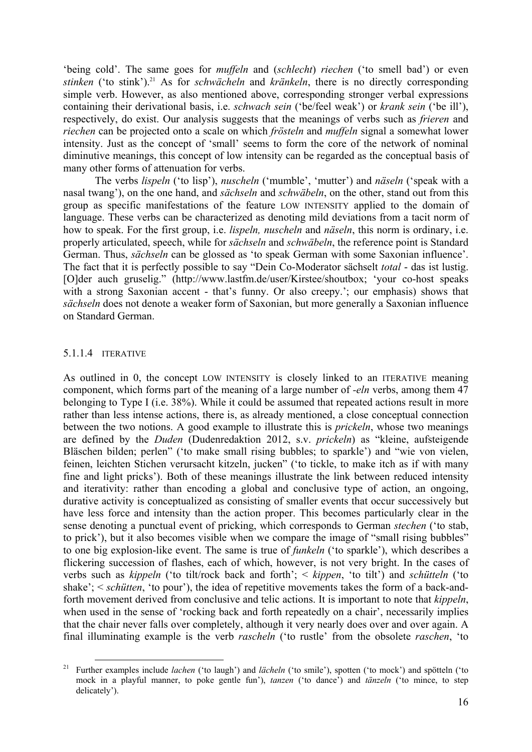'being cold'. The same goes for *muffeln* and (*schlecht*) *riechen* ('to smell bad') or even *stinken* ('to stink').<sup>21</sup> As for *schwächeln* and *kränkeln*, there is no directly corresponding simple verb. However, as also mentioned above, corresponding stronger verbal expressions containing their derivational basis, i.e. *schwach sein* ('be/feel weak') or *krank sein* ('be ill'), respectively, do exist. Our analysis suggests that the meanings of verbs such as *frieren* and *riechen* can be projected onto a scale on which *frösteln* and *muffeln* signal a somewhat lower intensity. Just as the concept of 'small' seems to form the core of the network of nominal diminutive meanings, this concept of low intensity can be regarded as the conceptual basis of many other forms of attenuation for verbs.

The verbs *lispeln* ('to lisp'), *nuscheln* ('mumble', 'mutter') and *näseln* ('speak with a nasal twang'), on the one hand, and *sächseln* and *schwäbeln*, on the other, stand out from this group as specific manifestations of the feature LOW INTENSITY applied to the domain of language. These verbs can be characterized as denoting mild deviations from a tacit norm of how to speak. For the first group, i.e. *lispeln, nuscheln* and *näseln*, this norm is ordinary, i.e. properly articulated, speech, while for *sächseln* and *schwäbeln*, the reference point is Standard German. Thus, *sächseln* can be glossed as 'to speak German with some Saxonian influence'. The fact that it is perfectly possible to say "Dein Co-Moderator sächselt *total* - das ist lustig. [O]der auch gruselig." (http://www.lastfm.de/user/Kirstee/shoutbox; 'your co-host speaks with a strong Saxonian accent - that's funny. Or also creepy.'; our emphasis) shows that *sächseln* does not denote a weaker form of Saxonian, but more generally a Saxonian influence on Standard German.

### 5.1.1.4 ITERATIVE

As outlined in 0, the concept LOW INTENSITY is closely linked to an ITERATIVE meaning component, which forms part of the meaning of a large number of *-eln* verbs, among them 47 belonging to Type I (i.e. 38%). While it could be assumed that repeated actions result in more rather than less intense actions, there is, as already mentioned, a close conceptual connection between the two notions. A good example to illustrate this is *prickeln*, whose two meanings are defined by the *Duden* (Dudenredaktion 2012, s.v. *prickeln*) as "kleine, aufsteigende Bläschen bilden; perlen" ('to make small rising bubbles; to sparkle') and "wie von vielen, feinen, leichten Stichen verursacht kitzeln, jucken" ('to tickle, to make itch as if with many fine and light pricks'). Both of these meanings illustrate the link between reduced intensity and iterativity: rather than encoding a global and conclusive type of action, an ongoing, durative activity is conceptualized as consisting of smaller events that occur successively but have less force and intensity than the action proper. This becomes particularly clear in the sense denoting a punctual event of pricking, which corresponds to German *stechen* ('to stab, to prick'), but it also becomes visible when we compare the image of "small rising bubbles" to one big explosion-like event. The same is true of *funkeln* ('to sparkle'), which describes a flickering succession of flashes, each of which, however, is not very bright. In the cases of verbs such as *kippeln* ('to tilt/rock back and forth'; < *kippen*, 'to tilt') and *schütteln* ('to shake'; < *schütten*, 'to pour'), the idea of repetitive movements takes the form of a back-andforth movement derived from conclusive and telic actions. It is important to note that *kippeln*, when used in the sense of 'rocking back and forth repeatedly on a chair', necessarily implies that the chair never falls over completely, although it very nearly does over and over again. A final illuminating example is the verb *rascheln* ('to rustle' from the obsolete *raschen*, 'to

 <sup>21</sup> Further examples include *lachen* ('to laugh') and *lächeln* ('to smile'), spotten ('to mock') and spötteln ('to mock in a playful manner, to poke gentle fun'), *tanzen* ('to dance') and *tänzeln* ('to mince, to step delicately').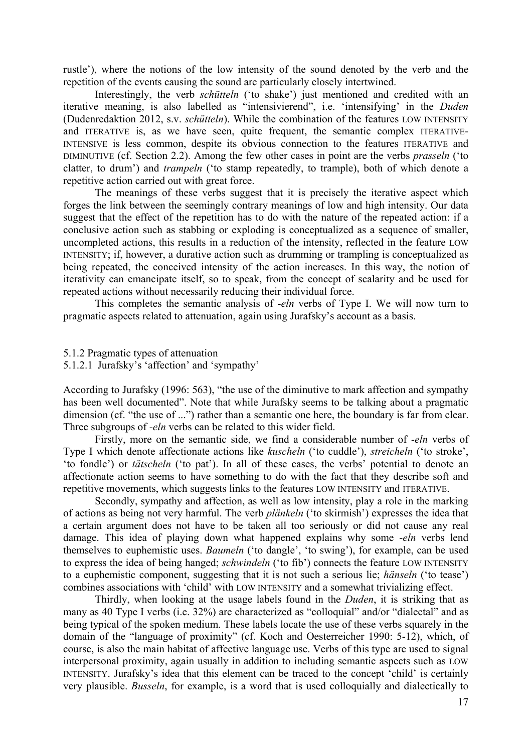rustle'), where the notions of the low intensity of the sound denoted by the verb and the repetition of the events causing the sound are particularly closely intertwined.

Interestingly, the verb *schütteln* ('to shake') just mentioned and credited with an iterative meaning, is also labelled as "intensivierend", i.e. 'intensifying' in the *Duden* (Dudenredaktion 2012, s.v. *schütteln*). While the combination of the features LOW INTENSITY and ITERATIVE is, as we have seen, quite frequent, the semantic complex ITERATIVE-INTENSIVE is less common, despite its obvious connection to the features ITERATIVE and DIMINUTIVE (cf. Section 2.2). Among the few other cases in point are the verbs *prasseln* ('to clatter, to drum') and *trampeln* ('to stamp repeatedly, to trample), both of which denote a repetitive action carried out with great force.

The meanings of these verbs suggest that it is precisely the iterative aspect which forges the link between the seemingly contrary meanings of low and high intensity. Our data suggest that the effect of the repetition has to do with the nature of the repeated action: if a conclusive action such as stabbing or exploding is conceptualized as a sequence of smaller, uncompleted actions, this results in a reduction of the intensity, reflected in the feature LOW INTENSITY; if, however, a durative action such as drumming or trampling is conceptualized as being repeated, the conceived intensity of the action increases. In this way, the notion of iterativity can emancipate itself, so to speak, from the concept of scalarity and be used for repeated actions without necessarily reducing their individual force.

This completes the semantic analysis of *-eln* verbs of Type I. We will now turn to pragmatic aspects related to attenuation, again using Jurafsky's account as a basis.

5.1.2 Pragmatic types of attenuation

5.1.2.1 Jurafsky's 'affection' and 'sympathy'

According to Jurafsky (1996: 563), "the use of the diminutive to mark affection and sympathy has been well documented". Note that while Jurafsky seems to be talking about a pragmatic dimension (cf. "the use of ...") rather than a semantic one here, the boundary is far from clear. Three subgroups of *-eln* verbs can be related to this wider field.

Firstly, more on the semantic side, we find a considerable number of *-eln* verbs of Type I which denote affectionate actions like *kuscheln* ('to cuddle'), *streicheln* ('to stroke', 'to fondle') or *tätscheln* ('to pat'). In all of these cases, the verbs' potential to denote an affectionate action seems to have something to do with the fact that they describe soft and repetitive movements, which suggests links to the features LOW INTENSITY and ITERATIVE.

Secondly, sympathy and affection, as well as low intensity, play a role in the marking of actions as being not very harmful. The verb *plänkeln* ('to skirmish') expresses the idea that a certain argument does not have to be taken all too seriously or did not cause any real damage. This idea of playing down what happened explains why some *-eln* verbs lend themselves to euphemistic uses. *Baumeln* ('to dangle', 'to swing'), for example, can be used to express the idea of being hanged; *schwindeln* ('to fib') connects the feature LOW INTENSITY to a euphemistic component, suggesting that it is not such a serious lie; *hänseln* ('to tease') combines associations with 'child' with LOW INTENSITY and a somewhat trivializing effect.

Thirdly, when looking at the usage labels found in the *Duden*, it is striking that as many as 40 Type I verbs (i.e. 32%) are characterized as "colloquial" and/or "dialectal" and as being typical of the spoken medium. These labels locate the use of these verbs squarely in the domain of the "language of proximity" (cf. Koch and Oesterreicher 1990: 5-12), which, of course, is also the main habitat of affective language use. Verbs of this type are used to signal interpersonal proximity, again usually in addition to including semantic aspects such as LOW INTENSITY. Jurafsky's idea that this element can be traced to the concept 'child' is certainly very plausible. *Busseln*, for example, is a word that is used colloquially and dialectically to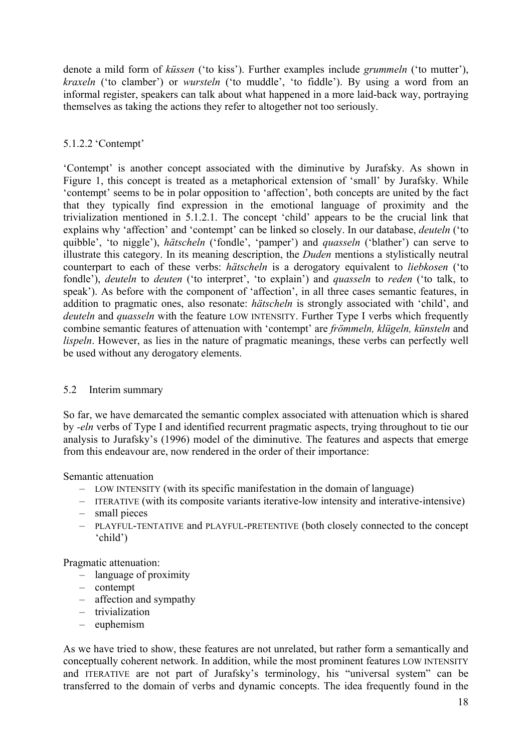denote a mild form of *küssen* ('to kiss'). Further examples include *grummeln* ('to mutter'), *kraxeln* ('to clamber') or *wursteln* ('to muddle', 'to fiddle'). By using a word from an informal register, speakers can talk about what happened in a more laid-back way, portraying themselves as taking the actions they refer to altogether not too seriously.

# 5.1.2.2 'Contempt'

'Contempt' is another concept associated with the diminutive by Jurafsky. As shown in Figure 1, this concept is treated as a metaphorical extension of 'small' by Jurafsky. While 'contempt' seems to be in polar opposition to 'affection', both concepts are united by the fact that they typically find expression in the emotional language of proximity and the trivialization mentioned in 5.1.2.1. The concept 'child' appears to be the crucial link that explains why 'affection' and 'contempt' can be linked so closely. In our database, *deuteln* ('to quibble', 'to niggle'), *hätscheln* ('fondle', 'pamper') and *quasseln* ('blather') can serve to illustrate this category. In its meaning description, the *Duden* mentions a stylistically neutral counterpart to each of these verbs: *hätscheln* is a derogatory equivalent to *liebkosen* ('to fondle'), *deuteln* to *deuten* ('to interpret', 'to explain') and *quasseln* to *reden* ('to talk, to speak'). As before with the component of 'affection', in all three cases semantic features, in addition to pragmatic ones, also resonate: *hätscheln* is strongly associated with 'child', and *deuteln* and *quasseln* with the feature LOW INTENSITY. Further Type I verbs which frequently combine semantic features of attenuation with 'contempt' are *frömmeln, klügeln, künsteln* and *lispeln*. However, as lies in the nature of pragmatic meanings, these verbs can perfectly well be used without any derogatory elements.

# 5.2 Interim summary

So far, we have demarcated the semantic complex associated with attenuation which is shared by *-eln* verbs of Type I and identified recurrent pragmatic aspects, trying throughout to tie our analysis to Jurafsky's (1996) model of the diminutive. The features and aspects that emerge from this endeavour are, now rendered in the order of their importance:

Semantic attenuation

- LOW INTENSITY (with its specific manifestation in the domain of language)
- ITERATIVE (with its composite variants iterative-low intensity and interative-intensive)
- small pieces
- PLAYFUL-TENTATIVE and PLAYFUL-PRETENTIVE (both closely connected to the concept 'child')

Pragmatic attenuation:

- language of proximity
- contempt
- affection and sympathy
- trivialization
- euphemism

As we have tried to show, these features are not unrelated, but rather form a semantically and conceptually coherent network. In addition, while the most prominent features LOW INTENSITY and ITERATIVE are not part of Jurafsky's terminology, his "universal system" can be transferred to the domain of verbs and dynamic concepts. The idea frequently found in the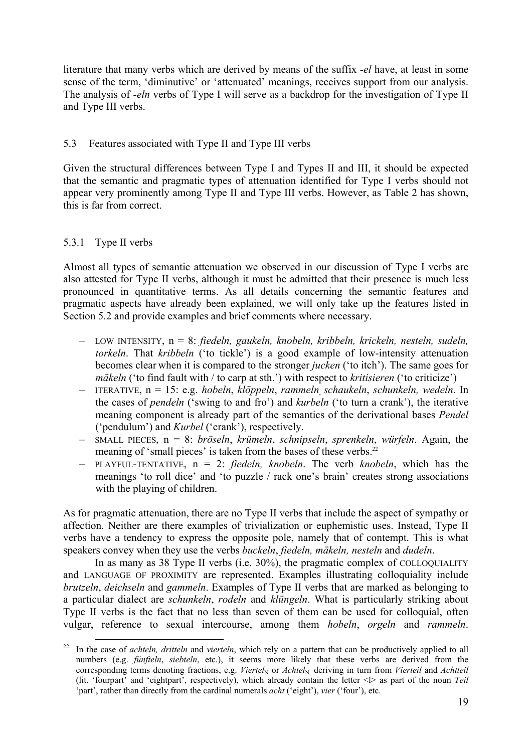literature that many verbs which are derived by means of the suffix *-el* have, at least in some sense of the term, 'diminutive' or 'attenuated' meanings, receives support from our analysis. The analysis of *-eln* verbs of Type I will serve as a backdrop for the investigation of Type II and Type III verbs.

# 5.3 Features associated with Type II and Type III verbs

Given the structural differences between Type I and Types II and III, it should be expected that the semantic and pragmatic types of attenuation identified for Type I verbs should not appear very prominently among Type II and Type III verbs. However, as Table 2 has shown, this is far from correct.

# 5.3.1 Type II verbs

Almost all types of semantic attenuation we observed in our discussion of Type I verbs are also attested for Type II verbs, although it must be admitted that their presence is much less pronounced in quantitative terms. As all details concerning the semantic features and pragmatic aspects have already been explained, we will only take up the features listed in Section 5.2 and provide examples and brief comments where necessary.

- LOW INTENSITY, n = 8: *fiedeln, gaukeln, knobeln, kribbeln, krickeln, nesteln, sudeln, torkeln*. That *kribbeln* ('to tickle') is a good example of low-intensity attenuation becomes clear when it is compared to the stronger *jucken* ('to itch'). The same goes for *mäkeln* ('to find fault with / to carp at sth.') with respect to *kritisieren* ('to criticize')
- ITERATIVE, n = 15: e.g. *hobeln*, *klöppeln*, *rammeln*, *schaukeln*, *schunkeln, wedeln*. In the cases of *pendeln* ('swing to and fro') and *kurbeln* ('to turn a crank'), the iterative meaning component is already part of the semantics of the derivational bases *Pendel* ('pendulum') and *Kurbel* ('crank'), respectively.
- SMALL PIECES, n = 8: *bröseln*, *krümeln*, *schnipseln*, *sprenkeln*, *würfeln*. Again, the meaning of 'small pieces' is taken from the bases of these verbs.<sup>22</sup>
- PLAYFUL-TENTATIVE, n = 2: *fiedeln, knobeln*. The verb *knobeln*, which has the meanings 'to roll dice' and 'to puzzle / rack one's brain' creates strong associations with the playing of children.

As for pragmatic attenuation, there are no Type II verbs that include the aspect of sympathy or affection. Neither are there examples of trivialization or euphemistic uses. Instead, Type II verbs have a tendency to express the opposite pole, namely that of contempt. This is what speakers convey when they use the verbs *buckeln*, *fiedeln, mäkeln, nesteln* and *dudeln*.

In as many as 38 Type II verbs (i.e. 30%), the pragmatic complex of COLLOQUIALITY and LANGUAGE OF PROXIMITY are represented. Examples illustrating colloquiality include *brutzeln*, *deichseln* and *gammeln*. Examples of Type II verbs that are marked as belonging to a particular dialect are *schunkeln*, *rodeln* and *klüngeln*. What is particularly striking about Type II verbs is the fact that no less than seven of them can be used for colloquial, often vulgar, reference to sexual intercourse, among them *hobeln*, *orgeln* and *rammeln*.

 <sup>22</sup> In the case of *achteln, dritteln* and *vierteln*, which rely on a pattern that can be productively applied to all numbers (e.g. *fünfteln*, *siebteln*, etc.), it seems more likely that these verbs are derived from the corresponding terms denoting fractions, e.g. *Viertel*<sub>N</sub> or *Achtel*<sub>N</sub> deriving in turn from *Vierteil* and *Achtteil* (lit. 'fourpart' and 'eightpart', respectively), which already contain the letter <l> as part of the noun *Teil* 'part', rather than directly from the cardinal numerals *acht* ('eight'), *vier* ('four'), etc.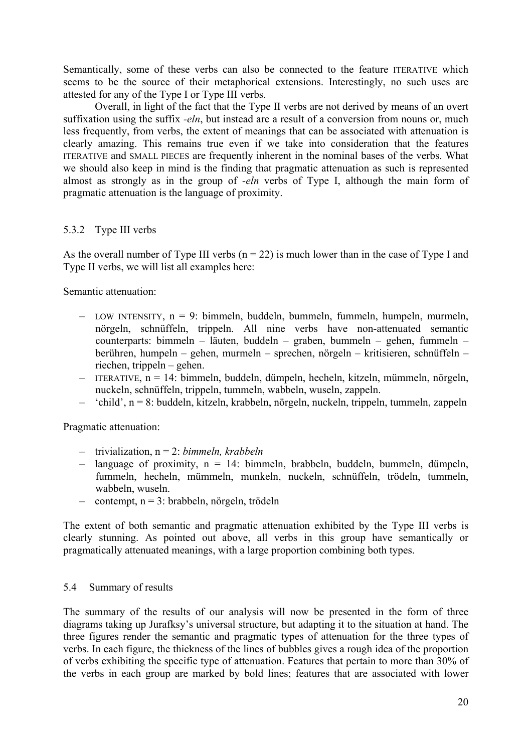Semantically, some of these verbs can also be connected to the feature ITERATIVE which seems to be the source of their metaphorical extensions. Interestingly, no such uses are attested for any of the Type I or Type III verbs.

Overall, in light of the fact that the Type II verbs are not derived by means of an overt suffixation using the suffix *-eln*, but instead are a result of a conversion from nouns or, much less frequently, from verbs, the extent of meanings that can be associated with attenuation is clearly amazing. This remains true even if we take into consideration that the features ITERATIVE and SMALL PIECES are frequently inherent in the nominal bases of the verbs. What we should also keep in mind is the finding that pragmatic attenuation as such is represented almost as strongly as in the group of *-eln* verbs of Type I, although the main form of pragmatic attenuation is the language of proximity.

# 5.3.2 Type III verbs

As the overall number of Type III verbs  $(n = 22)$  is much lower than in the case of Type I and Type II verbs, we will list all examples here:

Semantic attenuation:

- $-$  LOW INTENSITY,  $n = 9$ : bimmeln, buddeln, bummeln, fummeln, humpeln, murmeln, nörgeln, schnüffeln, trippeln. All nine verbs have non-attenuated semantic counterparts: bimmeln – läuten, buddeln – graben, bummeln – gehen, fummeln – berühren, humpeln – gehen, murmeln – sprechen, nörgeln – kritisieren, schnüffeln – riechen, trippeln – gehen.
- $-$  ITERATIVE,  $n = 14$ : bimmeln, buddeln, dümpeln, hecheln, kitzeln, mümmeln, nörgeln, nuckeln, schnüffeln, trippeln, tummeln, wabbeln, wuseln, zappeln.
- 'child', n = 8: buddeln, kitzeln, krabbeln, nörgeln, nuckeln, trippeln, tummeln, zappeln

Pragmatic attenuation:

- trivialization, n = 2: *bimmeln, krabbeln*
- $-$  language of proximity,  $n = 14$ : bimmeln, brabbeln, buddeln, bummeln, dümpeln, fummeln, hecheln, mümmeln, munkeln, nuckeln, schnüffeln, trödeln, tummeln, wabbeln, wuseln.
- $\alpha$  contempt,  $n = 3$ : brabbeln, nörgeln, trödeln

The extent of both semantic and pragmatic attenuation exhibited by the Type III verbs is clearly stunning. As pointed out above, all verbs in this group have semantically or pragmatically attenuated meanings, with a large proportion combining both types.

# 5.4 Summary of results

The summary of the results of our analysis will now be presented in the form of three diagrams taking up Jurafksy's universal structure, but adapting it to the situation at hand. The three figures render the semantic and pragmatic types of attenuation for the three types of verbs. In each figure, the thickness of the lines of bubbles gives a rough idea of the proportion of verbs exhibiting the specific type of attenuation. Features that pertain to more than 30% of the verbs in each group are marked by bold lines; features that are associated with lower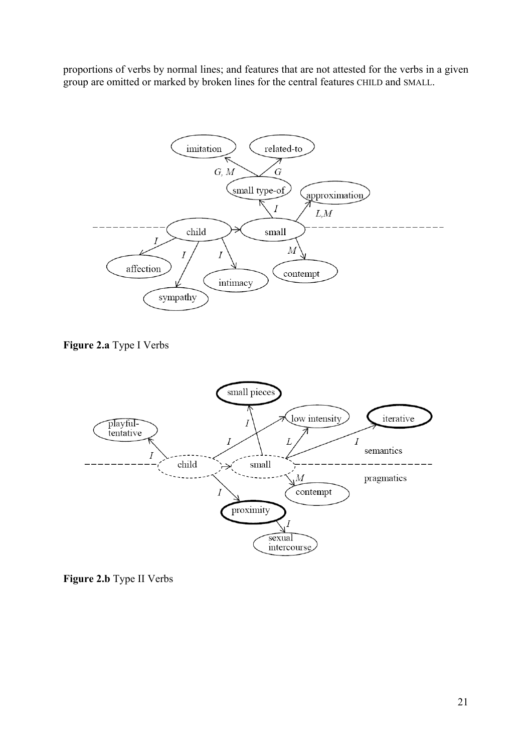proportions of verbs by normal lines; and features that are not attested for the verbs in a given group are omitted or marked by broken lines for the central features CHILD and SMALL.



**Figure 2.a** Type I Verbs



**Figure 2.b** Type II Verbs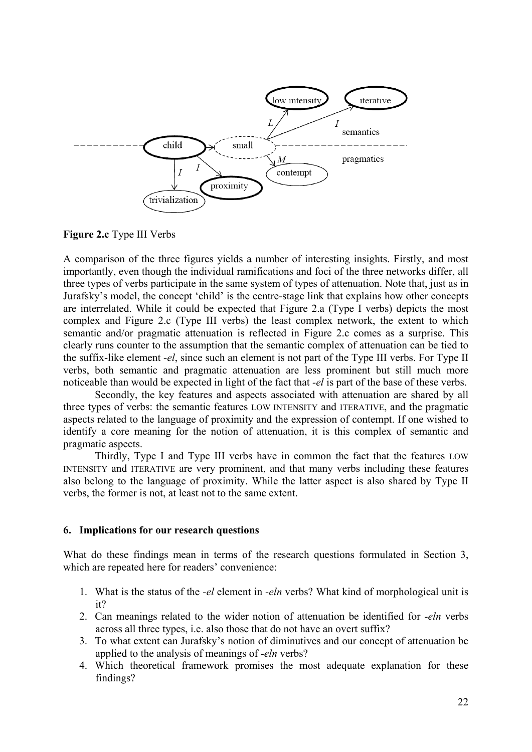

**Figure 2.c** Type III Verbs

A comparison of the three figures yields a number of interesting insights. Firstly, and most importantly, even though the individual ramifications and foci of the three networks differ, all three types of verbs participate in the same system of types of attenuation. Note that, just as in Jurafsky's model, the concept 'child' is the centre-stage link that explains how other concepts are interrelated. While it could be expected that Figure 2.a (Type I verbs) depicts the most complex and Figure 2.c (Type III verbs) the least complex network, the extent to which semantic and/or pragmatic attenuation is reflected in Figure 2.c comes as a surprise. This clearly runs counter to the assumption that the semantic complex of attenuation can be tied to the suffix-like element *-el*, since such an element is not part of the Type III verbs. For Type II verbs, both semantic and pragmatic attenuation are less prominent but still much more noticeable than would be expected in light of the fact that *-el* is part of the base of these verbs.

Secondly, the key features and aspects associated with attenuation are shared by all three types of verbs: the semantic features LOW INTENSITY and ITERATIVE, and the pragmatic aspects related to the language of proximity and the expression of contempt. If one wished to identify a core meaning for the notion of attenuation, it is this complex of semantic and pragmatic aspects.

Thirdly, Type I and Type III verbs have in common the fact that the features LOW INTENSITY and ITERATIVE are very prominent, and that many verbs including these features also belong to the language of proximity. While the latter aspect is also shared by Type II verbs, the former is not, at least not to the same extent.

#### **6. Implications for our research questions**

What do these findings mean in terms of the research questions formulated in Section 3, which are repeated here for readers' convenience:

- 1. What is the status of the *-el* element in *-eln* verbs? What kind of morphological unit is it?
- 2. Can meanings related to the wider notion of attenuation be identified for *-eln* verbs across all three types, i.e. also those that do not have an overt suffix?
- 3. To what extent can Jurafsky's notion of diminutives and our concept of attenuation be applied to the analysis of meanings of *-eln* verbs?
- 4. Which theoretical framework promises the most adequate explanation for these findings?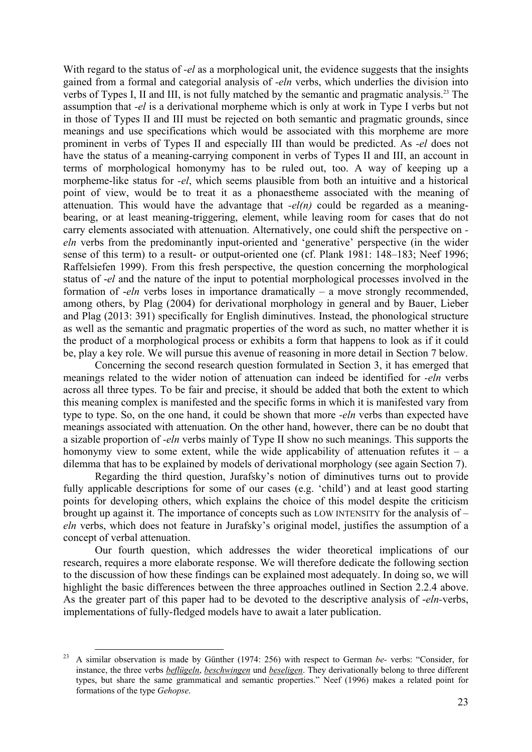With regard to the status of *-el* as a morphological unit, the evidence suggests that the insights gained from a formal and categorial analysis of *-eln* verbs, which underlies the division into verbs of Types I, II and III, is not fully matched by the semantic and pragmatic analysis.<sup>23</sup> The assumption that *-el* is a derivational morpheme which is only at work in Type I verbs but not in those of Types II and III must be rejected on both semantic and pragmatic grounds, since meanings and use specifications which would be associated with this morpheme are more prominent in verbs of Types II and especially III than would be predicted. As *-el* does not have the status of a meaning-carrying component in verbs of Types II and III, an account in terms of morphological homonymy has to be ruled out, too. A way of keeping up a morpheme-like status for *-el*, which seems plausible from both an intuitive and a historical point of view, would be to treat it as a phonaestheme associated with the meaning of attenuation. This would have the advantage that  $\text{-}el(n)$  could be regarded as a meaningbearing, or at least meaning-triggering, element, while leaving room for cases that do not carry elements associated with attenuation. Alternatively, one could shift the perspective on  *eln* verbs from the predominantly input-oriented and 'generative' perspective (in the wider sense of this term) to a result- or output-oriented one (cf. Plank 1981: 148–183; Neef 1996; Raffelsiefen 1999). From this fresh perspective, the question concerning the morphological status of -*el* and the nature of the input to potential morphological processes involved in the formation of -*eln* verbs loses in importance dramatically – a move strongly recommended, among others, by Plag (2004) for derivational morphology in general and by Bauer, Lieber and Plag (2013: 391) specifically for English diminutives. Instead, the phonological structure as well as the semantic and pragmatic properties of the word as such, no matter whether it is the product of a morphological process or exhibits a form that happens to look as if it could be, play a key role. We will pursue this avenue of reasoning in more detail in Section 7 below.

Concerning the second research question formulated in Section 3, it has emerged that meanings related to the wider notion of attenuation can indeed be identified for *-eln* verbs across all three types. To be fair and precise, it should be added that both the extent to which this meaning complex is manifested and the specific forms in which it is manifested vary from type to type. So, on the one hand, it could be shown that more *-eln* verbs than expected have meanings associated with attenuation. On the other hand, however, there can be no doubt that a sizable proportion of *-eln* verbs mainly of Type II show no such meanings. This supports the homonymy view to some extent, while the wide applicability of attenuation refutes it – a dilemma that has to be explained by models of derivational morphology (see again Section 7).

Regarding the third question, Jurafsky's notion of diminutives turns out to provide fully applicable descriptions for some of our cases (e.g. 'child') and at least good starting points for developing others, which explains the choice of this model despite the criticism brought up against it. The importance of concepts such as LOW INTENSITY for the analysis of *– eln* verbs, which does not feature in Jurafsky's original model, justifies the assumption of a concept of verbal attenuation.

Our fourth question, which addresses the wider theoretical implications of our research, requires a more elaborate response. We will therefore dedicate the following section to the discussion of how these findings can be explained most adequately. In doing so, we will highlight the basic differences between the three approaches outlined in Section 2.2.4 above. As the greater part of this paper had to be devoted to the descriptive analysis of -*eln-*verbs, implementations of fully-fledged models have to await a later publication.

 <sup>23</sup> A similar observation is made by Günther (1974: 256) with respect to German *be-* verbs: "Consider, for instance, the three verbs *beflügeln*, *beschwingen* und *beseligen*. They derivationally belong to three different types, but share the same grammatical and semantic properties." Neef (1996) makes a related point for formations of the type *Gehopse*.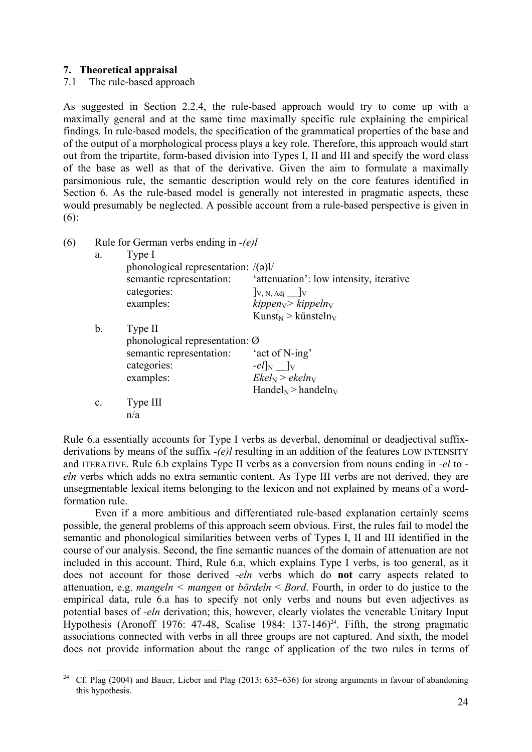### **7. Theoretical appraisal**

7.1 The rule-based approach

As suggested in Section 2.2.4, the rule-based approach would try to come up with a maximally general and at the same time maximally specific rule explaining the empirical findings. In rule-based models, the specification of the grammatical properties of the base and of the output of a morphological process plays a key role. Therefore, this approach would start out from the tripartite, form-based division into Types I, II and III and specify the word class of the base as well as that of the derivative. Given the aim to formulate a maximally parsimonious rule, the semantic description would rely on the core features identified in Section 6. As the rule-based model is generally not interested in pragmatic aspects, these would presumably be neglected. A possible account from a rule-based perspective is given in  $(6)$ :

(6) Rule for German verbs ending in *-(e)l* 

| a.             | Type I                                     |                                         |
|----------------|--------------------------------------------|-----------------------------------------|
|                | phonological representation: $/(a)$ l/     |                                         |
|                | semantic representation:                   | 'attenuation': low intensity, iterative |
|                | categories:                                | $\vert V, N, \text{Adj} \_\vert V$      |
|                | examples:                                  | $kippenv$ kippeln <sub>V</sub>          |
|                |                                            | $Kunst_N$ > künsteln <sub>V</sub>       |
| b.             | Type II                                    |                                         |
|                | phonological representation: $\varnothing$ |                                         |
|                | semantic representation:                   | 'act of N-ing'                          |
|                | categories:                                | $-eI$ <sub>N</sub> <sub>V</sub>         |
|                | examples:                                  | $Ekel_N$ > ekelny                       |
|                |                                            | $Handel_N>handeln_V$                    |
| $\mathbf{c}$ . | Type III                                   |                                         |
|                | n/a                                        |                                         |
|                |                                            |                                         |

Rule 6.a essentially accounts for Type I verbs as deverbal, denominal or deadjectival suffixderivations by means of the suffix *-(e)l* resulting in an addition of the features LOW INTENSITY and ITERATIVE. Rule 6.b explains Type II verbs as a conversion from nouns ending in *-el* to *eln* verbs which adds no extra semantic content. As Type III verbs are not derived, they are unsegmentable lexical items belonging to the lexicon and not explained by means of a wordformation rule.

Even if a more ambitious and differentiated rule-based explanation certainly seems possible, the general problems of this approach seem obvious. First, the rules fail to model the semantic and phonological similarities between verbs of Types I, II and III identified in the course of our analysis. Second, the fine semantic nuances of the domain of attenuation are not included in this account. Third, Rule 6.a, which explains Type I verbs, is too general, as it does not account for those derived *-eln* verbs which do **not** carry aspects related to attenuation, e.g. *mangeln < mangen* or *bördeln* < *Bord*. Fourth, in order to do justice to the empirical data, rule 6.a has to specify not only verbs and nouns but even adjectives as potential bases of *-eln* derivation; this, however, clearly violates the venerable Unitary Input Hypothesis (Aronoff 1976: 47-48, Scalise 1984:  $137-146$ <sup>24</sup>. Fifth, the strong pragmatic associations connected with verbs in all three groups are not captured. And sixth, the model does not provide information about the range of application of the two rules in terms of

<sup>&</sup>lt;sup>24</sup> Cf. Plag (2004) and Bauer, Lieber and Plag (2013:  $635-636$ ) for strong arguments in favour of abandoning this hypothesis.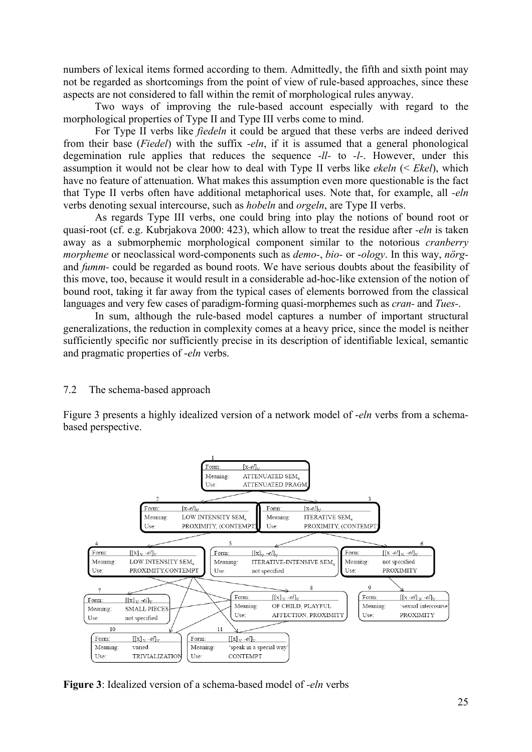numbers of lexical items formed according to them. Admittedly, the fifth and sixth point may not be regarded as shortcomings from the point of view of rule-based approaches, since these aspects are not considered to fall within the remit of morphological rules anyway.

Two ways of improving the rule-based account especially with regard to the morphological properties of Type II and Type III verbs come to mind.

For Type II verbs like *fiedeln* it could be argued that these verbs are indeed derived from their base (*Fiedel*) with the suffix *-eln*, if it is assumed that a general phonological degemination rule applies that reduces the sequence *-ll-* to *-l-*. However, under this assumption it would not be clear how to deal with Type II verbs like *ekeln* (< *Ekel*), which have no feature of attenuation. What makes this assumption even more questionable is the fact that Type II verbs often have additional metaphorical uses. Note that, for example, all *-eln* verbs denoting sexual intercourse, such as *hobeln* and *orgeln*, are Type II verbs.

As regards Type III verbs, one could bring into play the notions of bound root or quasi-root (cf. e.g. Kubrjakova 2000: 423), which allow to treat the residue after *-eln* is taken away as a submorphemic morphological component similar to the notorious *cranberry morpheme* or neoclassical word-components such as *demo-*, *bio-* or -*ology*. In this way, *nörg*and *fumm-* could be regarded as bound roots. We have serious doubts about the feasibility of this move, too, because it would result in a considerable ad-hoc-like extension of the notion of bound root, taking it far away from the typical cases of elements borrowed from the classical languages and very few cases of paradigm-forming quasi-morphemes such as *cran-* and *Tues-*.

In sum, although the rule-based model captures a number of important structural generalizations, the reduction in complexity comes at a heavy price, since the model is neither sufficiently specific nor sufficiently precise in its description of identifiable lexical, semantic and pragmatic properties of -*eln* verbs.

### 7.2 The schema-based approach

Figure 3 presents a highly idealized version of a network model of -*eln* verbs from a schemabased perspective.



**Figure 3**: Idealized version of a schema-based model of *-eln* verbs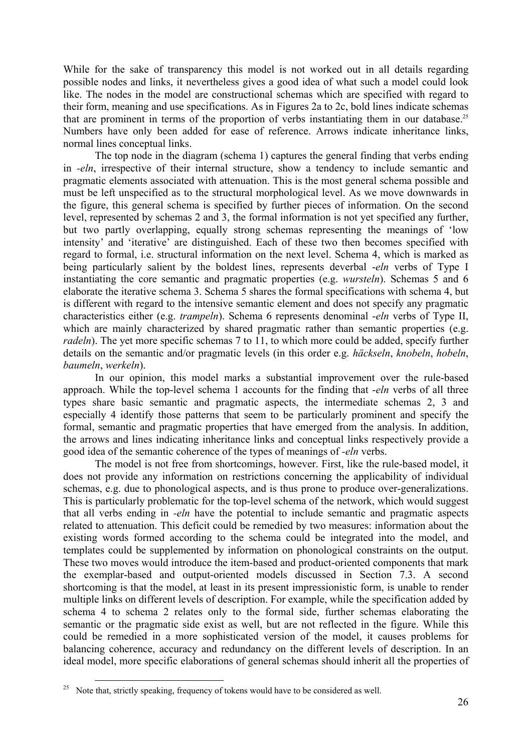While for the sake of transparency this model is not worked out in all details regarding possible nodes and links, it nevertheless gives a good idea of what such a model could look like. The nodes in the model are constructional schemas which are specified with regard to their form, meaning and use specifications. As in Figures 2a to 2c, bold lines indicate schemas that are prominent in terms of the proportion of verbs instantiating them in our database.<sup>25</sup> Numbers have only been added for ease of reference. Arrows indicate inheritance links, normal lines conceptual links.

The top node in the diagram (schema 1) captures the general finding that verbs ending in *-eln*, irrespective of their internal structure, show a tendency to include semantic and pragmatic elements associated with attenuation. This is the most general schema possible and must be left unspecified as to the structural morphological level. As we move downwards in the figure, this general schema is specified by further pieces of information. On the second level, represented by schemas 2 and 3, the formal information is not yet specified any further, but two partly overlapping, equally strong schemas representing the meanings of 'low intensity' and 'iterative' are distinguished. Each of these two then becomes specified with regard to formal, i.e. structural information on the next level. Schema 4, which is marked as being particularly salient by the boldest lines, represents deverbal -*eln* verbs of Type I instantiating the core semantic and pragmatic properties (e.g. *wursteln*). Schemas 5 and 6 elaborate the iterative schema 3. Schema 5 shares the formal specifications with schema 4, but is different with regard to the intensive semantic element and does not specify any pragmatic characteristics either (e.g. *trampeln*). Schema 6 represents denominal -*eln* verbs of Type II, which are mainly characterized by shared pragmatic rather than semantic properties (e.g. *radeln*). The yet more specific schemas 7 to 11, to which more could be added, specify further details on the semantic and/or pragmatic levels (in this order e.g. *häckseln*, *knobeln*, *hobeln*, *baumeln*, *werkeln*).

In our opinion, this model marks a substantial improvement over the rule-based approach. While the top-level schema 1 accounts for the finding that -*eln* verbs of all three types share basic semantic and pragmatic aspects, the intermediate schemas 2, 3 and especially 4 identify those patterns that seem to be particularly prominent and specify the formal, semantic and pragmatic properties that have emerged from the analysis. In addition, the arrows and lines indicating inheritance links and conceptual links respectively provide a good idea of the semantic coherence of the types of meanings of *-eln* verbs.

The model is not free from shortcomings, however. First, like the rule-based model, it does not provide any information on restrictions concerning the applicability of individual schemas, e.g. due to phonological aspects, and is thus prone to produce over-generalizations. This is particularly problematic for the top-level schema of the network, which would suggest that all verbs ending in *-eln* have the potential to include semantic and pragmatic aspects related to attenuation. This deficit could be remedied by two measures: information about the existing words formed according to the schema could be integrated into the model, and templates could be supplemented by information on phonological constraints on the output. These two moves would introduce the item-based and product-oriented components that mark the exemplar-based and output-oriented models discussed in Section 7.3. A second shortcoming is that the model, at least in its present impressionistic form, is unable to render multiple links on different levels of description. For example, while the specification added by schema 4 to schema 2 relates only to the formal side, further schemas elaborating the semantic or the pragmatic side exist as well, but are not reflected in the figure. While this could be remedied in a more sophisticated version of the model, it causes problems for balancing coherence, accuracy and redundancy on the different levels of description. In an ideal model, more specific elaborations of general schemas should inherit all the properties of

 $25$  Note that, strictly speaking, frequency of tokens would have to be considered as well.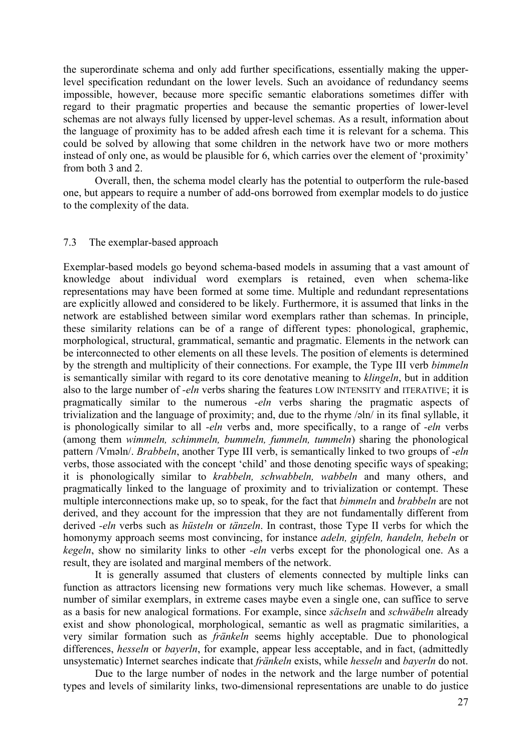the superordinate schema and only add further specifications, essentially making the upperlevel specification redundant on the lower levels. Such an avoidance of redundancy seems impossible, however, because more specific semantic elaborations sometimes differ with regard to their pragmatic properties and because the semantic properties of lower-level schemas are not always fully licensed by upper-level schemas. As a result, information about the language of proximity has to be added afresh each time it is relevant for a schema. This could be solved by allowing that some children in the network have two or more mothers instead of only one, as would be plausible for 6, which carries over the element of 'proximity' from both 3 and 2.

Overall, then, the schema model clearly has the potential to outperform the rule-based one, but appears to require a number of add-ons borrowed from exemplar models to do justice to the complexity of the data.

#### 7.3 The exemplar-based approach

Exemplar-based models go beyond schema-based models in assuming that a vast amount of knowledge about individual word exemplars is retained, even when schema-like representations may have been formed at some time. Multiple and redundant representations are explicitly allowed and considered to be likely. Furthermore, it is assumed that links in the network are established between similar word exemplars rather than schemas. In principle, these similarity relations can be of a range of different types: phonological, graphemic, morphological, structural, grammatical, semantic and pragmatic. Elements in the network can be interconnected to other elements on all these levels. The position of elements is determined by the strength and multiplicity of their connections. For example, the Type III verb *bimmeln* is semantically similar with regard to its core denotative meaning to *klingeln*, but in addition also to the large number of *-eln* verbs sharing the features LOW INTENSITY and ITERATIVE; it is pragmatically similar to the numerous *-eln* verbs sharing the pragmatic aspects of trivialization and the language of proximity; and, due to the rhyme /əln/ in its final syllable, it is phonologically similar to all *-eln* verbs and, more specifically, to a range of *-eln* verbs (among them *wimmeln, schimmeln, bummeln, fummeln, tummeln*) sharing the phonological pattern /Vməln/. *Brabbeln*, another Type III verb, is semantically linked to two groups of -*eln* verbs, those associated with the concept 'child' and those denoting specific ways of speaking; it is phonologically similar to *krabbeln, schwabbeln, wabbeln* and many others, and pragmatically linked to the language of proximity and to trivialization or contempt. These multiple interconnections make up, so to speak, for the fact that *bimmeln* and *brabbeln* are not derived, and they account for the impression that they are not fundamentally different from derived *-eln* verbs such as *hüsteln* or *tänzeln*. In contrast, those Type II verbs for which the homonymy approach seems most convincing, for instance *adeln, gipfeln, handeln, hebeln* or *kegeln*, show no similarity links to other *-eln* verbs except for the phonological one. As a result, they are isolated and marginal members of the network.

It is generally assumed that clusters of elements connected by multiple links can function as attractors licensing new formations very much like schemas. However, a small number of similar exemplars, in extreme cases maybe even a single one, can suffice to serve as a basis for new analogical formations. For example, since *sächseln* and *schwäbeln* already exist and show phonological, morphological, semantic as well as pragmatic similarities, a very similar formation such as *fränkeln* seems highly acceptable. Due to phonological differences, *hesseln* or *bayerln*, for example, appear less acceptable, and in fact, (admittedly unsystematic) Internet searches indicate that *fränkeln* exists, while *hesseln* and *bayerln* do not.

Due to the large number of nodes in the network and the large number of potential types and levels of similarity links, two-dimensional representations are unable to do justice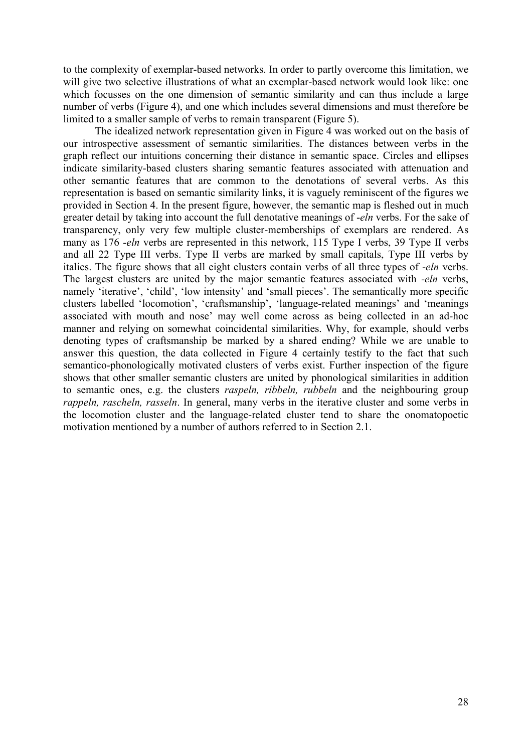to the complexity of exemplar-based networks. In order to partly overcome this limitation, we will give two selective illustrations of what an exemplar-based network would look like: one which focusses on the one dimension of semantic similarity and can thus include a large number of verbs (Figure 4), and one which includes several dimensions and must therefore be limited to a smaller sample of verbs to remain transparent (Figure 5).

The idealized network representation given in Figure 4 was worked out on the basis of our introspective assessment of semantic similarities. The distances between verbs in the graph reflect our intuitions concerning their distance in semantic space. Circles and ellipses indicate similarity-based clusters sharing semantic features associated with attenuation and other semantic features that are common to the denotations of several verbs. As this representation is based on semantic similarity links, it is vaguely reminiscent of the figures we provided in Section 4. In the present figure, however, the semantic map is fleshed out in much greater detail by taking into account the full denotative meanings of -*eln* verbs. For the sake of transparency, only very few multiple cluster-memberships of exemplars are rendered. As many as 176 *-eln* verbs are represented in this network, 115 Type I verbs, 39 Type II verbs and all 22 Type III verbs. Type II verbs are marked by small capitals, Type III verbs by italics. The figure shows that all eight clusters contain verbs of all three types of -*eln* verbs. The largest clusters are united by the major semantic features associated with *-eln* verbs, namely 'iterative', 'child', 'low intensity' and 'small pieces'. The semantically more specific clusters labelled 'locomotion', 'craftsmanship', 'language-related meanings' and 'meanings associated with mouth and nose' may well come across as being collected in an ad-hoc manner and relying on somewhat coincidental similarities. Why, for example, should verbs denoting types of craftsmanship be marked by a shared ending? While we are unable to answer this question, the data collected in Figure 4 certainly testify to the fact that such semantico-phonologically motivated clusters of verbs exist. Further inspection of the figure shows that other smaller semantic clusters are united by phonological similarities in addition to semantic ones, e.g. the clusters *raspeln, ribbeln, rubbeln* and the neighbouring group *rappeln, rascheln, rasseln*. In general, many verbs in the iterative cluster and some verbs in the locomotion cluster and the language-related cluster tend to share the onomatopoetic motivation mentioned by a number of authors referred to in Section 2.1.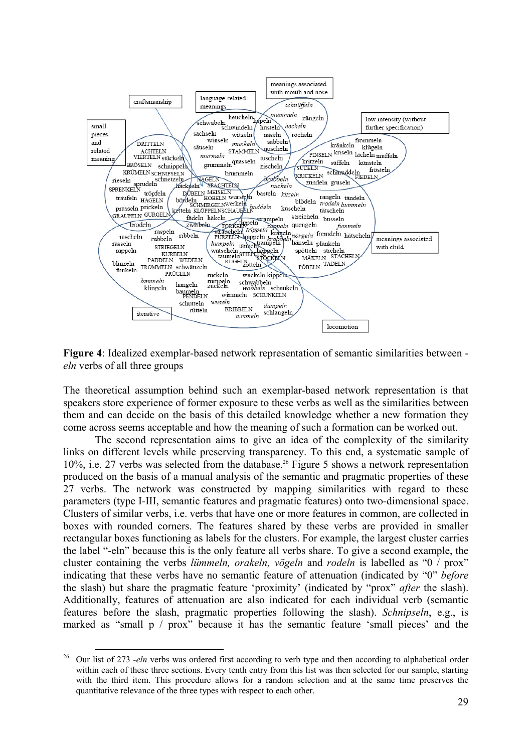

**Figure 4**: Idealized exemplar-based network representation of semantic similarities between *eln* verbs of all three groups

The theoretical assumption behind such an exemplar-based network representation is that speakers store experience of former exposure to these verbs as well as the similarities between them and can decide on the basis of this detailed knowledge whether a new formation they come across seems acceptable and how the meaning of such a formation can be worked out.

The second representation aims to give an idea of the complexity of the similarity links on different levels while preserving transparency. To this end, a systematic sample of 10%, i.e. 27 verbs was selected from the database.<sup>26</sup> Figure 5 shows a network representation produced on the basis of a manual analysis of the semantic and pragmatic properties of these 27 verbs. The network was constructed by mapping similarities with regard to these parameters (type I-III, semantic features and pragmatic features) onto two-dimensional space. Clusters of similar verbs, i.e. verbs that have one or more features in common, are collected in boxes with rounded corners. The features shared by these verbs are provided in smaller rectangular boxes functioning as labels for the clusters. For example, the largest cluster carries the label "-eln" because this is the only feature all verbs share. To give a second example, the cluster containing the verbs *lümmeln, orakeln, vögeln* and *rodeln* is labelled as "0 / prox" indicating that these verbs have no semantic feature of attenuation (indicated by "0" *before* the slash) but share the pragmatic feature 'proximity' (indicated by "prox" *after* the slash). Additionally, features of attenuation are also indicated for each individual verb (semantic features before the slash, pragmatic properties following the slash). *Schnipseln*, e.g., is marked as "small p / prox" because it has the semantic feature 'small pieces' and the

<sup>&</sup>lt;sup>26</sup> Our list of 273 *-eln* verbs was ordered first according to verb type and then according to alphabetical order within each of these three sections. Every tenth entry from this list was then selected for our sample, starting with the third item. This procedure allows for a random selection and at the same time preserves the quantitative relevance of the three types with respect to each other.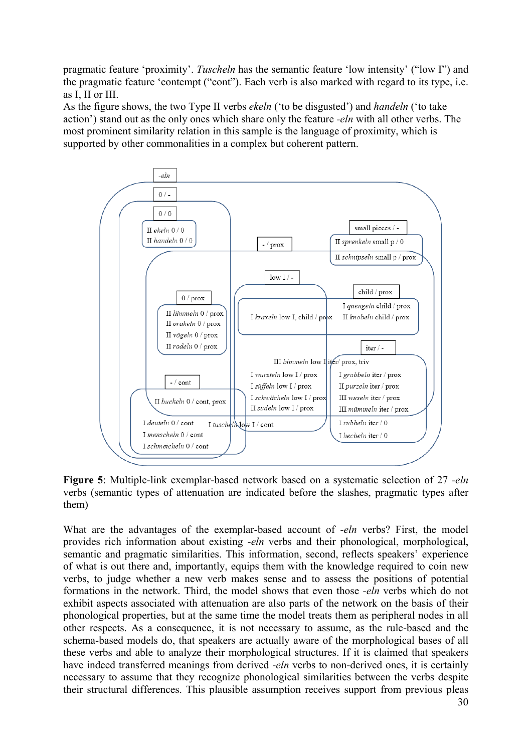pragmatic feature 'proximity'. *Tuscheln* has the semantic feature 'low intensity' ("low I") and the pragmatic feature 'contempt ("cont"). Each verb is also marked with regard to its type, i.e. as I, II or III.

As the figure shows, the two Type II verbs *ekeln* ('to be disgusted') and *handeln* ('to take action') stand out as the only ones which share only the feature *-eln* with all other verbs. The most prominent similarity relation in this sample is the language of proximity, which is supported by other commonalities in a complex but coherent pattern.



**Figure 5**: Multiple-link exemplar-based network based on a systematic selection of 27 *-eln* verbs (semantic types of attenuation are indicated before the slashes, pragmatic types after them)

What are the advantages of the exemplar-based account of *-eln* verbs? First, the model provides rich information about existing *-eln* verbs and their phonological, morphological, semantic and pragmatic similarities. This information, second, reflects speakers' experience of what is out there and, importantly, equips them with the knowledge required to coin new verbs, to judge whether a new verb makes sense and to assess the positions of potential formations in the network. Third, the model shows that even those *-eln* verbs which do not exhibit aspects associated with attenuation are also parts of the network on the basis of their phonological properties, but at the same time the model treats them as peripheral nodes in all other respects. As a consequence, it is not necessary to assume, as the rule-based and the schema-based models do, that speakers are actually aware of the morphological bases of all these verbs and able to analyze their morphological structures. If it is claimed that speakers have indeed transferred meanings from derived -*eln* verbs to non-derived ones, it is certainly necessary to assume that they recognize phonological similarities between the verbs despite their structural differences. This plausible assumption receives support from previous pleas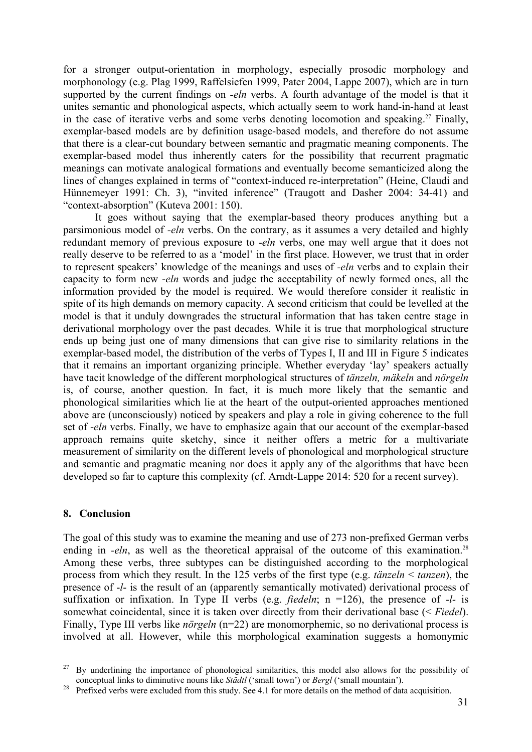for a stronger output-orientation in morphology, especially prosodic morphology and morphonology (e.g. Plag 1999, Raffelsiefen 1999, Pater 2004, Lappe 2007), which are in turn supported by the current findings on *-eln* verbs. A fourth advantage of the model is that it unites semantic and phonological aspects, which actually seem to work hand-in-hand at least in the case of iterative verbs and some verbs denoting locomotion and speaking.<sup>27</sup> Finally, exemplar-based models are by definition usage-based models, and therefore do not assume that there is a clear-cut boundary between semantic and pragmatic meaning components. The exemplar-based model thus inherently caters for the possibility that recurrent pragmatic meanings can motivate analogical formations and eventually become semanticized along the lines of changes explained in terms of "context-induced re-interpretation" (Heine, Claudi and Hünnemeyer 1991: Ch. 3), "invited inference" (Traugott and Dasher 2004: 34-41) and "context-absorption" (Kuteva 2001: 150).

It goes without saying that the exemplar-based theory produces anything but a parsimonious model of *-eln* verbs. On the contrary, as it assumes a very detailed and highly redundant memory of previous exposure to *-eln* verbs, one may well argue that it does not really deserve to be referred to as a 'model' in the first place. However, we trust that in order to represent speakers' knowledge of the meanings and uses of *-eln* verbs and to explain their capacity to form new -*eln* words and judge the acceptability of newly formed ones, all the information provided by the model is required. We would therefore consider it realistic in spite of its high demands on memory capacity. A second criticism that could be levelled at the model is that it unduly downgrades the structural information that has taken centre stage in derivational morphology over the past decades. While it is true that morphological structure ends up being just one of many dimensions that can give rise to similarity relations in the exemplar-based model, the distribution of the verbs of Types I, II and III in Figure 5 indicates that it remains an important organizing principle. Whether everyday 'lay' speakers actually have tacit knowledge of the different morphological structures of *tänzeln, mäkeln* and *nörgeln* is, of course, another question. In fact, it is much more likely that the semantic and phonological similarities which lie at the heart of the output-oriented approaches mentioned above are (unconsciously) noticed by speakers and play a role in giving coherence to the full set of -*eln* verbs. Finally, we have to emphasize again that our account of the exemplar-based approach remains quite sketchy, since it neither offers a metric for a multivariate measurement of similarity on the different levels of phonological and morphological structure and semantic and pragmatic meaning nor does it apply any of the algorithms that have been developed so far to capture this complexity (cf. Arndt-Lappe 2014: 520 for a recent survey).

### **8. Conclusion**

The goal of this study was to examine the meaning and use of 273 non-prefixed German verbs ending in *-eln*, as well as the theoretical appraisal of the outcome of this examination.<sup>28</sup> Among these verbs, three subtypes can be distinguished according to the morphological process from which they result. In the 125 verbs of the first type (e.g. *tänzeln* < *tanzen*), the presence of -*l*- is the result of an (apparently semantically motivated) derivational process of suffixation or infixation. In Type II verbs (e.g. *fiedeln*; n =126), the presence of *-l-* is somewhat coincidental, since it is taken over directly from their derivational base (< *Fiedel*). Finally, Type III verbs like *nörgeln* (n=22) are monomorphemic, so no derivational process is involved at all. However, while this morphological examination suggests a homonymic

<sup>&</sup>lt;sup>27</sup> By underlining the importance of phonological similarities, this model also allows for the possibility of conceptual links to diminutive nouns like *Städtl* ('small town') or *Bergl* ('small mountain').

<sup>&</sup>lt;sup>28</sup> Prefixed verbs were excluded from this study. See 4.1 for more details on the method of data acquisition.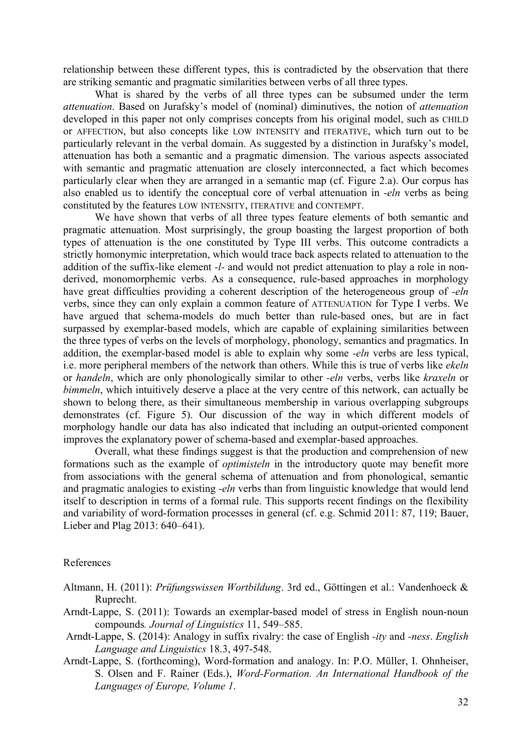relationship between these different types, this is contradicted by the observation that there are striking semantic and pragmatic similarities between verbs of all three types.

What is shared by the verbs of all three types can be subsumed under the term *attenuation*. Based on Jurafsky's model of (nominal) diminutives, the notion of *attenuation* developed in this paper not only comprises concepts from his original model, such as CHILD or AFFECTION, but also concepts like LOW INTENSITY and ITERATIVE, which turn out to be particularly relevant in the verbal domain. As suggested by a distinction in Jurafsky's model, attenuation has both a semantic and a pragmatic dimension. The various aspects associated with semantic and pragmatic attenuation are closely interconnected, a fact which becomes particularly clear when they are arranged in a semantic map (cf. Figure 2.a). Our corpus has also enabled us to identify the conceptual core of verbal attenuation in *-eln* verbs as being constituted by the features LOW INTENSITY, ITERATIVE and CONTEMPT.

We have shown that verbs of all three types feature elements of both semantic and pragmatic attenuation. Most surprisingly, the group boasting the largest proportion of both types of attenuation is the one constituted by Type III verbs. This outcome contradicts a strictly homonymic interpretation, which would trace back aspects related to attenuation to the addition of the suffix-like element *-l-* and would not predict attenuation to play a role in nonderived, monomorphemic verbs. As a consequence, rule-based approaches in morphology have great difficulties providing a coherent description of the heterogeneous group of *-eln* verbs, since they can only explain a common feature of ATTENUATION for Type I verbs. We have argued that schema-models do much better than rule-based ones, but are in fact surpassed by exemplar-based models, which are capable of explaining similarities between the three types of verbs on the levels of morphology, phonology, semantics and pragmatics. In addition, the exemplar-based model is able to explain why some *-eln* verbs are less typical, i.e. more peripheral members of the network than others. While this is true of verbs like *ekeln* or *handeln*, which are only phonologically similar to other *-eln* verbs, verbs like *kraxeln* or *bimmeln*, which intuitively deserve a place at the very centre of this network, can actually be shown to belong there, as their simultaneous membership in various overlapping subgroups demonstrates (cf. Figure 5). Our discussion of the way in which different models of morphology handle our data has also indicated that including an output-oriented component improves the explanatory power of schema-based and exemplar-based approaches.

 Overall, what these findings suggest is that the production and comprehension of new formations such as the example of *optimisteln* in the introductory quote may benefit more from associations with the general schema of attenuation and from phonological, semantic and pragmatic analogies to existing *-eln* verbs than from linguistic knowledge that would lend itself to description in terms of a formal rule. This supports recent findings on the flexibility and variability of word-formation processes in general (cf. e.g. Schmid 2011: 87, 119; Bauer, Lieber and Plag 2013: 640–641).

#### References

- Altmann, H. (2011): *Prüfungswissen Wortbildung*. 3rd ed., Göttingen et al.: Vandenhoeck & Ruprecht.
- Arndt-Lappe, S. (2011): Towards an exemplar-based model of stress in English noun-noun compounds*. Journal of Linguistics* 11, 549–585.
- Arndt-Lappe, S. (2014): Analogy in suffix rivalry: the case of English *-ity* and *-ness*. *English Language and Linguistics* 18.3, 497-548.
- Arndt-Lappe, S. (forthcoming), Word-formation and analogy. In: P.O. Müller, I. Ohnheiser, S. Olsen and F. Rainer (Eds.), *Word-Formation. An International Handbook of the Languages of Europe, Volume 1*.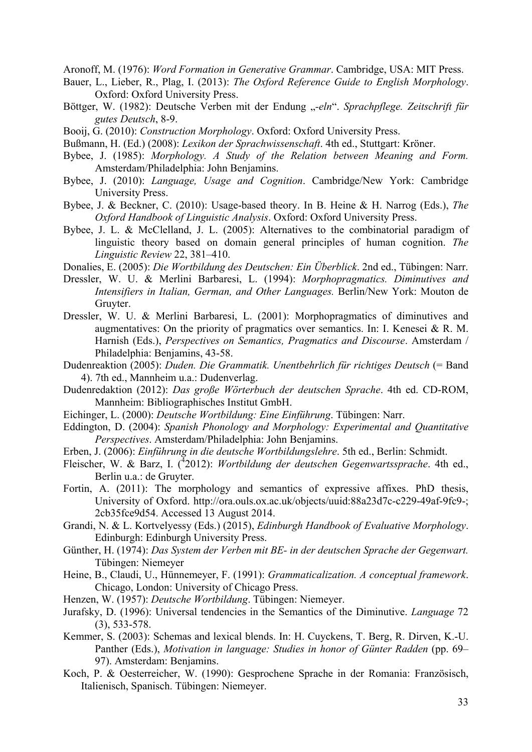Aronoff, M. (1976): *Word Formation in Generative Grammar*. Cambridge, USA: MIT Press.

- Bauer, L., Lieber, R., Plag, I. (2013): *The Oxford Reference Guide to English Morphology*. Oxford: Oxford University Press.
- Böttger, W. (1982): Deutsche Verben mit der Endung "-eln". *Sprachpflege. Zeitschrift für gutes Deutsch*, 8-9.
- Booij, G. (2010): *Construction Morphology*. Oxford: Oxford University Press.
- Bußmann, H. (Ed.) (2008): *Lexikon der Sprachwissenschaft*. 4th ed., Stuttgart: Kröner.
- Bybee, J. (1985): *Morphology. A Study of the Relation between Meaning and Form.*  Amsterdam/Philadelphia: John Benjamins.
- Bybee, J. (2010): *Language, Usage and Cognition*. Cambridge/New York: Cambridge University Press.
- Bybee, J. & Beckner, C. (2010): Usage-based theory. In B. Heine & H. Narrog (Eds.), *The Oxford Handbook of Linguistic Analysis*. Oxford: Oxford University Press.
- Bybee, J. L. & McClelland, J. L. (2005): Alternatives to the combinatorial paradigm of linguistic theory based on domain general principles of human cognition. *The Linguistic Review* 22, 381–410.
- Donalies, E. (2005): *Die Wortbildung des Deutschen: Ein Überblick*. 2nd ed., Tübingen: Narr.
- Dressler, W. U. & Merlini Barbaresi, L. (1994): *Morphopragmatics. Diminutives and Intensifiers in Italian, German, and Other Languages.* Berlin/New York: Mouton de Gruyter.
- Dressler, W. U. & Merlini Barbaresi, L. (2001): Morphopragmatics of diminutives and augmentatives: On the priority of pragmatics over semantics. In: I. Kenesei & R. M. Harnish (Eds.), *Perspectives on Semantics, Pragmatics and Discourse*. Amsterdam / Philadelphia: Benjamins, 43-58.
- Dudenreaktion (2005): *Duden. Die Grammatik. Unentbehrlich für richtiges Deutsch* (= Band 4). 7th ed., Mannheim u.a.: Dudenverlag.
- Dudenredaktion (2012): *Das große Wörterbuch der deutschen Sprache*. 4th ed. CD-ROM, Mannheim: Bibliographisches Institut GmbH.
- Eichinger, L. (2000): *Deutsche Wortbildung: Eine Einführung*. Tübingen: Narr.
- Eddington, D. (2004): *Spanish Phonology and Morphology: Experimental and Quantitative Perspectives*. Amsterdam/Philadelphia: John Benjamins.
- Erben, J. (2006): *Einführung in die deutsche Wortbildungslehre*. 5th ed., Berlin: Schmidt.
- Fleischer, W. & Barz, I. (<sup>4</sup>2012): *Wortbildung der deutschen Gegenwartssprache*. 4th ed., Berlin u.a.: de Gruyter.
- Fortin, A. (2011): The morphology and semantics of expressive affixes. PhD thesis, University of Oxford. http://ora.ouls.ox.ac.uk/objects/uuid:88a23d7c-c229-49af-9fc9-; 2cb35fce9d54. Accessed 13 August 2014.
- Grandi, N. & L. Kortvelyessy (Eds.) (2015), *Edinburgh Handbook of Evaluative Morphology*. Edinburgh: Edinburgh University Press.
- Günther, H. (1974): *Das System der Verben mit BE- in der deutschen Sprache der Gegenwart.* Tübingen: Niemeyer
- Heine, B., Claudi, U., Hünnemeyer, F. (1991): *Grammaticalization. A conceptual framework*. Chicago, London: University of Chicago Press.
- Henzen, W. (1957): *Deutsche Wortbildung*. Tübingen: Niemeyer.
- Jurafsky, D. (1996): Universal tendencies in the Semantics of the Diminutive. *Language* 72 (3), 533-578.
- Kemmer, S. (2003): Schemas and lexical blends. In: H. Cuyckens, T. Berg, R. Dirven, K.-U. Panther (Eds.), *Motivation in language: Studies in honor of Günter Radden* (pp. 69– 97). Amsterdam: Benjamins.
- Koch, P. & Oesterreicher, W. (1990): Gesprochene Sprache in der Romania: Französisch, Italienisch, Spanisch. Tübingen: Niemeyer.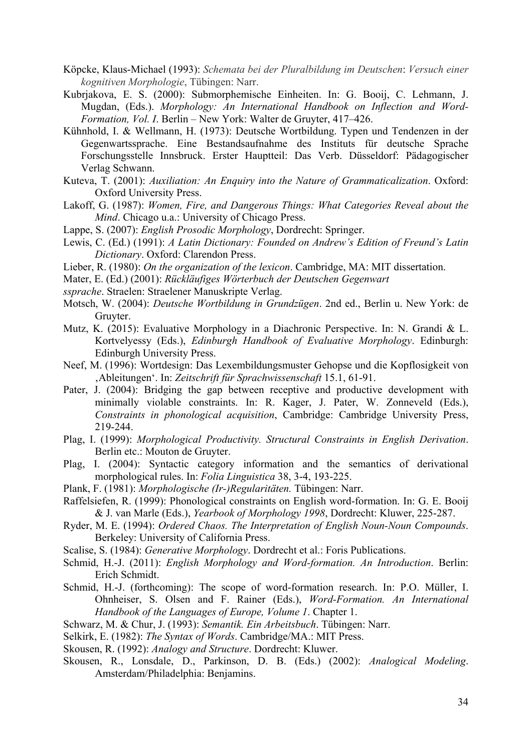- Köpcke, Klaus-Michael (1993): *Schemata bei der Pluralbildung im Deutschen*: *Versuch einer kognitiven Morphologie*, Tübingen: Narr.
- Kubrjakova, E. S. (2000): Submorphemische Einheiten. In: G. Booij, C. Lehmann, J. Mugdan, (Eds.). *Morphology: An International Handbook on Inflection and Word-Formation, Vol. I*. Berlin – New York: Walter de Gruyter, 417–426.
- Kühnhold, I. & Wellmann, H. (1973): Deutsche Wortbildung. Typen und Tendenzen in der Gegenwartssprache. Eine Bestandsaufnahme des Instituts für deutsche Sprache Forschungsstelle Innsbruck. Erster Hauptteil: Das Verb. Düsseldorf: Pädagogischer Verlag Schwann.
- Kuteva, T. (2001): *Auxiliation: An Enquiry into the Nature of Grammaticalization*. Oxford: Oxford University Press.
- Lakoff, G. (1987): *Women, Fire, and Dangerous Things: What Categories Reveal about the Mind.* Chicago u.a.: University of Chicago Press.
- Lappe, S. (2007): *English Prosodic Morphology*, Dordrecht: Springer.
- Lewis, C. (Ed.) (1991): *A Latin Dictionary: Founded on Andrew's Edition of Freund's Latin Dictionary*. Oxford: Clarendon Press.
- Lieber, R. (1980): *On the organization of the lexicon*. Cambridge, MA: MIT dissertation.
- Mater, E. (Ed.) (2001): *Rückläufiges Wörterbuch der Deutschen Gegenwart*
- *ssprache*. Straelen: Straelener Manuskripte Verlag.
- Motsch, W. (2004): *Deutsche Wortbildung in Grundzügen*. 2nd ed., Berlin u. New York: de Gruyter.
- Mutz, K. (2015): Evaluative Morphology in a Diachronic Perspective. In: N. Grandi & L. Kortvelyessy (Eds.), *Edinburgh Handbook of Evaluative Morphology*. Edinburgh: Edinburgh University Press.
- Neef, M. (1996): Wortdesign: Das Lexembildungsmuster Gehopse und die Kopflosigkeit von 'Ableitungen'. In: *Zeitschrift für Sprachwissenschaft* 15.1, 61-91.
- Pater, J. (2004): Bridging the gap between receptive and productive development with minimally violable constraints. In: R. Kager, J. Pater, W. Zonneveld (Eds.), *Constraints in phonological acquisition*, Cambridge: Cambridge University Press, 219-244.
- Plag, I. (1999): *Morphological Productivity. Structural Constraints in English Derivation*. Berlin etc.: Mouton de Gruyter.
- Plag, I. (2004): Syntactic category information and the semantics of derivational morphological rules. In: *Folia Linguistica* 38, 3-4, 193-225.
- Plank, F. (1981): *Morphologische (Ir-)Regularitäten.* Tübingen: Narr.
- Raffelsiefen, R. (1999): Phonological constraints on English word-formation. In: G. E. Booij & J. van Marle (Eds.), *Yearbook of Morphology 1998*, Dordrecht: Kluwer, 225-287.
- Ryder, M. E. (1994): *Ordered Chaos. The Interpretation of English Noun-Noun Compounds*. Berkeley: University of California Press.
- Scalise, S. (1984): *Generative Morphology*. Dordrecht et al.: Foris Publications.
- Schmid, H.-J. (2011): *English Morphology and Word-formation. An Introduction*. Berlin: Erich Schmidt.
- Schmid, H.-J. (forthcoming): The scope of word-formation research. In: P.O. Müller, I. Ohnheiser, S. Olsen and F. Rainer (Eds.), *Word-Formation. An International Handbook of the Languages of Europe, Volume 1*. Chapter 1.
- Schwarz, M. & Chur, J. (1993): *Semantik. Ein Arbeitsbuch*. Tübingen: Narr.
- Selkirk, E. (1982): *The Syntax of Words*. Cambridge/MA.: MIT Press.
- Skousen, R. (1992): *Analogy and Structure*. Dordrecht: Kluwer.
- Skousen, R., Lonsdale, D., Parkinson, D. B. (Eds.) (2002): *Analogical Modeling*. Amsterdam/Philadelphia: Benjamins.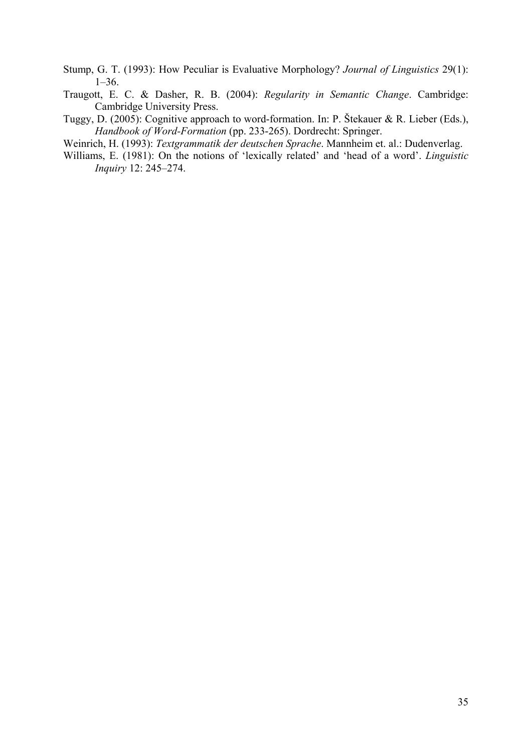- Stump, G. T. (1993): How Peculiar is Evaluative Morphology? *Journal of Linguistics* 29(1): 1–36.
- Traugott, E. C. & Dasher, R. B. (2004): *Regularity in Semantic Change*. Cambridge: Cambridge University Press.
- Tuggy, D. (2005): Cognitive approach to word-formation. In: P. Štekauer & R. Lieber (Eds.), *Handbook of Word-Formation* (pp. 233-265). Dordrecht: Springer.

Weinrich, H. (1993): *Textgrammatik der deutschen Sprache*. Mannheim et. al.: Dudenverlag.

Williams, E. (1981): On the notions of 'lexically related' and 'head of a word'. *Linguistic Inquiry* 12: 245–274.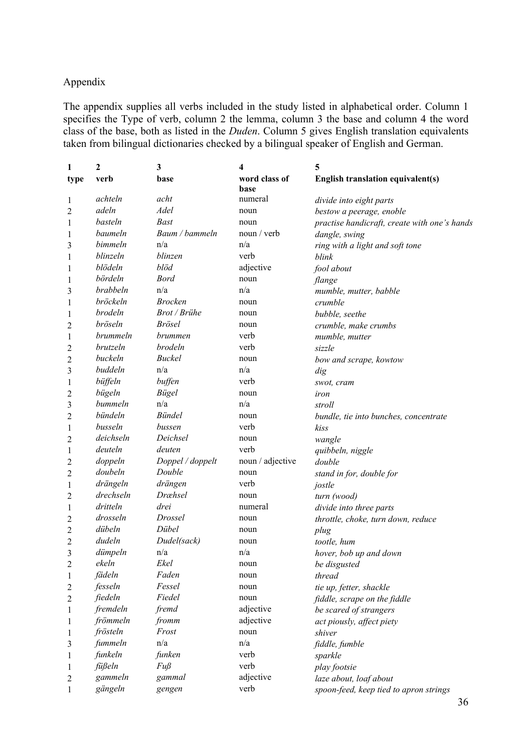### Appendix

The appendix supplies all verbs included in the study listed in alphabetical order. Column 1 specifies the Type of verb, column 2 the lemma, column 3 the base and column 4 the word class of the base, both as listed in the *Duden*. Column 5 gives English translation equivalents taken from bilingual dictionaries checked by a bilingual speaker of English and German.

| 1              | $\mathbf{2}$ | 3                | 4                     | 5                                            |
|----------------|--------------|------------------|-----------------------|----------------------------------------------|
| type           | verb         | base             | word class of<br>base | English translation equivalent(s)            |
| 1              | achteln      | acht             | numeral               | divide into eight parts                      |
| 2              | adeln        | Adel             | noun                  | bestow a peerage, enoble                     |
| 1              | basteln      | <b>Bast</b>      | noun                  | practise handicraft, create with one's hands |
| 1              | baumeln      | Baum / bammeln   | noun / verb           | dangle, swing                                |
| 3              | bimmeln      | n/a              | n/a                   | ring with a light and soft tone              |
| 1              | blinzeln     | blinzen          | verb                  | blink                                        |
| 1              | blödeln      | blöd             | adjective             | fool about                                   |
| 1              | bördeln      | <b>Bord</b>      | noun                  | flange                                       |
| 3              | brabbeln     | n/a              | n/a                   | mumble, mutter, babble                       |
| 1              | bröckeln     | <b>Brocken</b>   | noun                  | crumble                                      |
| 1              | brodeln      | Brot / Brühe     | noun                  | bubble, seethe                               |
| 2              | bröseln      | <b>Brösel</b>    | noun                  | crumble, make crumbs                         |
| 1              | brummeln     | brummen          | verb                  | mumble, mutter                               |
| $\overline{c}$ | brutzeln     | brodeln          | verb                  | sizzle                                       |
| $\overline{c}$ | buckeln      | <b>Buckel</b>    | noun                  | bow and scrape, kowtow                       |
| 3              | buddeln      | n/a              | n/a                   | dig                                          |
| 1              | büffeln      | buffen           | verb                  | swot, cram                                   |
| $\overline{c}$ | bügeln       | Bügel            | noun                  | iron                                         |
| 3              | bummeln      | n/a              | n/a                   | stroll                                       |
| 2              | bündeln      | <b>Bündel</b>    | noun                  | bundle, tie into bunches, concentrate        |
| 1              | busseln      | bussen           | verb                  | kiss                                         |
| $\overline{c}$ | deichseln    | Deichsel         | noun                  | wangle                                       |
| 1              | deuteln      | deuten           | verb                  | quibbeln, niggle                             |
| 2              | doppeln      | Doppel / doppelt | noun / adjective      | double                                       |
| $\overline{c}$ | doubeln      | Double           | noun                  | stand in for, double for                     |
| 1              | drängeln     | drängen          | verb                  | jostle                                       |
| 2              | drechseln    | Dræhsel          | noun                  | turn (wood)                                  |
| 1              | dritteln     | drei             | numeral               | divide into three parts                      |
| $\overline{c}$ | drosseln     | Drossel          | noun                  | throttle, choke, turn down, reduce           |
| $\overline{c}$ | dübeln       | Dübel            | noun                  | plug                                         |
| $\overline{c}$ | dudeln       | Dudel(sack)      | noun                  | tootle, hum                                  |
| 3              | dümpeln      | n/a              | n/a                   | hover, bob up and down                       |
| 2              | ekeln        | Ekel             | noun                  | be disgusted                                 |
| 1              | fädeln       | Faden            | noun                  | thread                                       |
| $\overline{c}$ | fesseln      | Fessel           | noun                  | tie up, fetter, shackle                      |
| $\overline{c}$ | fiedeln      | Fiedel           | noun                  | fiddle, scrape on the fiddle                 |
| 1              | fremdeln     | fremd            | adjective             | be scared of strangers                       |
| 1              | frömmeln     | fromm            | adjective             | act piously, affect piety                    |
| 1              | frösteln     | Frost            | noun                  | shiver                                       |
| 3              | fummeln      | n/a              | n/a                   | fiddle, fumble                               |
| 1              | funkeln      | funken           | verb                  | sparkle                                      |
| 1              | füßeln       | $Fu\beta$        | verb                  | play footsie                                 |
| $\overline{c}$ | gammeln      | gammal           | adjective             | laze about, loaf about                       |
| 1              | gängeln      | gengen           | verb                  | spoon-feed, keep tied to apron strings       |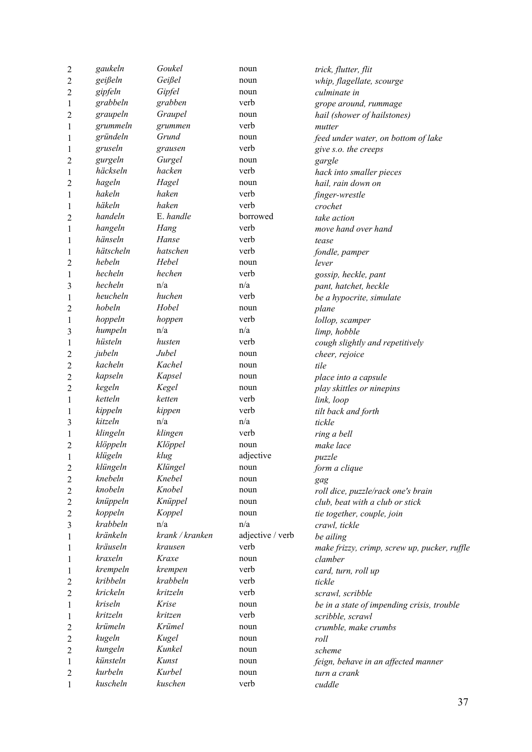| $\sqrt{2}$          | gaukeln             | Goukel          | noun             | trick, flutter, flit                                      |
|---------------------|---------------------|-----------------|------------------|-----------------------------------------------------------|
| $\overline{c}$      | geißeln             | Geißel          | noun             | whip, flagellate, scourge                                 |
| $\overline{c}$      | gipfeln             | Gipfel          | noun             | culminate in                                              |
| 1                   | grabbeln            | grabben         | verb             | grope around, rummage                                     |
| 2                   | graupeln            | Graupel         | noun             | hail (shower of hailstones)                               |
| 1                   | grummeln            | grummen         | verb             | mutter                                                    |
| 1                   | gründeln            | Grund           | noun             | feed under water, on bottom of lake                       |
| 1                   | gruseln             | grausen         | verb             | give s.o. the creeps                                      |
| $\overline{c}$      | gurgeln             | Gurgel          | noun             | gargle                                                    |
| 1                   | häckseln            | hacken          | verb             | hack into smaller pieces                                  |
| 2                   | hageln              | Hagel           | noun             | hail, rain down on                                        |
| 1                   | hakeln              | haken           | verb             | finger-wrestle                                            |
| 1                   | häkeln              | haken           | verb             | crochet                                                   |
| $\overline{c}$      | handeln             | E. handle       | borrowed         | take action                                               |
| 1                   | hangeln             | Hang            | verb             | move hand over hand                                       |
| 1                   | hänseln             | Hanse           | verb             | tease                                                     |
| 1                   | hätscheln           | hatschen        | verb             | fondle, pamper                                            |
| $\overline{c}$      | hebeln              | Hebel           | noun             | lever                                                     |
| 1                   | hecheln             | hechen          | verb             | gossip, heckle, pant                                      |
| 3                   | hecheln             | n/a             | n/a              | pant, hatchet, heckle                                     |
| 1                   | heucheln            | huchen          | verb             | be a hypocrite, simulate                                  |
| $\overline{c}$      | hobeln              | Hobel           | noun             | plane                                                     |
| 1                   | hoppeln             | hoppen          | verb             | lollop, scamper                                           |
| 3                   | humpeln             | n/a             | n/a              | limp, hobble                                              |
| 1                   | hüsteln             | husten          | verb             | cough slightly and repetitively                           |
| $\overline{c}$      | jubeln              | Jubel           | noun             | cheer, rejoice                                            |
| $\overline{c}$      | kacheln             | Kachel          | noun             | tile                                                      |
| $\overline{c}$      | kapseln             | Kapsel          | noun             | place into a capsule                                      |
| 2                   | kegeln              | Kegel           | noun             | play skittles or ninepins                                 |
| $\mathbf{1}$        | ketteln             | ketten          | verb             | link, loop                                                |
| 1                   | kippeln             | kippen          | verb             | tilt back and forth                                       |
| 3                   | kitzeln             | n/a             | n/a              | tickle                                                    |
| 1                   | klingeln            | klingen         | verb             | ring a bell                                               |
| 2                   | klöppeln            | Klöppel         | noun             | make lace                                                 |
| 1                   | klügeln             | klug            | adjective        | puzzle                                                    |
| $\overline{c}$      | klüngeln            | Klüngel         | noun             |                                                           |
| $\overline{c}$      | knebeln             | Knebel          | noun             | form a clique                                             |
| $\overline{c}$      | knobeln             | Knobel          | noun             | gag<br>roll dice, puzzle/rack one's brain                 |
|                     | knüppeln            | Knüppel         | noun             | club, beat with a club or stick                           |
| 2<br>$\overline{c}$ | koppeln             | Koppel          | noun             |                                                           |
| 3                   | krabbeln            | n/a             | n/a              | tie together, couple, join<br>crawl, tickle               |
| 1                   | kränkeln            | krank / kranken | adjective / verb |                                                           |
|                     | kräuseln            | krausen         | verb             | be ailing<br>make frizzy, crimp, screw up, pucker, ruffle |
| 1                   | kraxeln             | Kraxe           | noun             | clamber                                                   |
| 1                   | krempeln            | krempen         | verb             |                                                           |
| 1                   | kribbeln            | krabbeln        | verb             | card, turn, roll up<br>tickle                             |
| $\overline{c}$      | krickeln            | kritzeln        | verb             |                                                           |
| $\overline{c}$      | kriseln             | Krise           |                  | scrawl, scribble                                          |
| 1                   | kritzeln            | kritzen         | noun             | be in a state of impending crisis, trouble                |
| 1                   |                     | Krümel          | verb             | scribble, scrawl                                          |
| 2                   | krümeln             |                 | noun             | crumble, make crumbs                                      |
| 2                   | kugeln              | Kugel           | noun             | roll                                                      |
| 2                   | kungeln             | Kunkel          | noun             | scheme                                                    |
| 1                   | künsteln<br>kurbeln | Kunst<br>Kurbel | noun             | feign, behave in an affected manner                       |
| 2                   |                     |                 | noun             | turn a crank                                              |
| 1                   | kuscheln            | kuschen         | verb             | cuddle                                                    |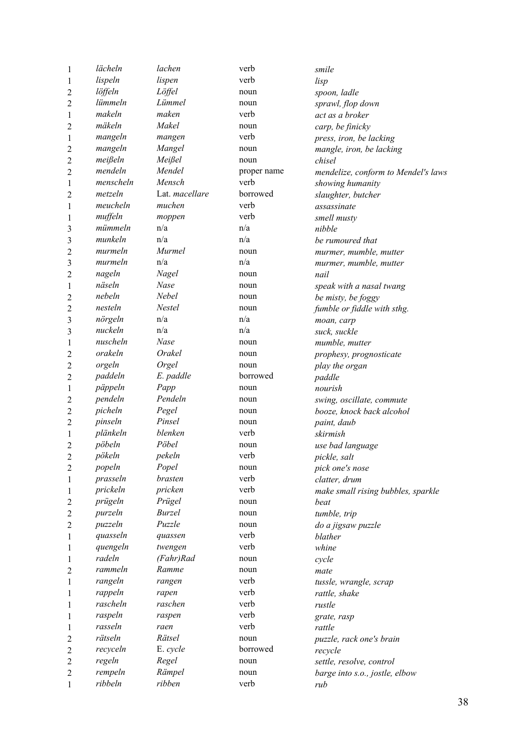| 1              | lächeln            | lachen            | verb         | smile                               |
|----------------|--------------------|-------------------|--------------|-------------------------------------|
| 1              | lispeln            | lispen            | verb         | lisp                                |
| $\overline{c}$ | löffeln            | Löffel            | noun         | spoon, ladle                        |
| $\overline{2}$ | lümmeln            | Lümmel            | noun         | sprawl, flop down                   |
| 1              | makeln             | maken             | verb         | act as a broker                     |
| 2              | mäkeln             | Makel             | noun         | carp, be finicky                    |
| 1              | mangeln            | mangen            | verb         | press, iron, be lacking             |
| $\overline{c}$ | mangeln            | Mangel            | noun         | mangle, iron, be lacking            |
| $\overline{c}$ | meißeln            | Meißel            | noun         | chisel                              |
| $\overline{c}$ | mendeln            | Mendel            | proper name  | mendelize, conform to Mendel's laws |
| 1              | menscheln          | Mensch            | verb         | showing humanity                    |
| 2              | metzeln            | Lat. macellare    | borrowed     | slaughter, butcher                  |
| 1              | meucheln           | muchen            | verb         | assassinate                         |
| 1              | muffeln            | moppen            | verb         | smell musty                         |
| 3              | mümmeln            | n/a               | n/a          | nibble                              |
| 3              | munkeln            | n/a               | n/a          | be rumoured that                    |
| $\overline{c}$ | murmeln            | Murmel            | noun         | murmer, mumble, mutter              |
| 3              | murmeln            | n/a               | n/a          | murmer, mumble, mutter              |
| $\overline{c}$ | nageln             | Nagel             | noun         | nail                                |
| 1              | näseln             | <b>Nase</b>       | noun         | speak with a nasal twang            |
| 2              | nebeln             | Nebel             | noun         | be misty, be foggy                  |
| $\overline{c}$ | nesteln            | <b>Nestel</b>     | noun         | fumble or fiddle with sthg.         |
| 3              | nörgeln            | n/a               | n/a          |                                     |
| 3              | nuckeln            | n/a               | n/a          | moan, carp<br>suck, suckle          |
|                | nuscheln           | <b>Nase</b>       | noun         |                                     |
| 1              | orakeln            | Orakel            |              | mumble, mutter                      |
| $\overline{c}$ | orgeln             | Orgel             | noun<br>noun | prophesy, prognosticate             |
| $\overline{c}$ |                    |                   | borrowed     | play the organ                      |
| 2              | paddeln            | E. paddle<br>Papp |              | paddle                              |
| 1              | päppeln<br>pendeln | Pendeln           | noun         | nourish                             |
| $\overline{c}$ |                    | Pegel             | noun         | swing, oscillate, commute           |
| $\overline{c}$ | picheln<br>pinseln | Pinsel            | noun         | booze, knock back alcohol           |
| $\overline{2}$ |                    |                   | noun         | paint, daub                         |
| 1              | plänkeln           | blenken<br>Pöbel  | verb         | skirmish                            |
| 2              | pöbeln             |                   | noun         | use bad language                    |
| 2              | pökeln             | pekeln            | verb         | pickle, salt                        |
| $\sqrt{2}$     | popeln             | Popel             | noun         | pick one's nose                     |
| 1              | prasseln           | brasten           | verb         | clatter, drum                       |
| 1              | prickeln           | pricken           | verb         | make small rising bubbles, sparkle  |
| 2              | prügeln            | Prügel            | noun         | beat                                |
| $\overline{c}$ | purzeln            | <b>Burzel</b>     | noun         | tumble, trip                        |
| $\overline{c}$ | puzzeln            | Puzzle            | noun         | do a jigsaw puzzle                  |
| 1              | quasseln           | quassen           | verb         | blather                             |
| 1              | quengeln           | twengen           | verb         | whine                               |
| 1              | radeln             | (Fahr)Rad         | noun         | cycle                               |
| 2              | rammeln            | Ramme             | noun         | mate                                |
| 1              | rangeln            | rangen            | verb         | tussle, wrangle, scrap              |
| 1              | rappeln            | rapen             | verb         | rattle, shake                       |
| 1              | rascheln           | raschen           | verb         | rustle                              |
| 1              | raspeln            | raspen            | verb         | grate, rasp                         |
| 1              | rasseln            | raen              | verb         | rattle                              |
| 2              | rätseln            | Rätsel            | noun         | puzzle, rack one's brain            |
| $\overline{c}$ | recyceln           | E. cycle          | borrowed     | recycle                             |
| $\overline{c}$ | regeln             | Regel             | noun         | settle, resolve, control            |
| 2              | rempeln            | Rämpel            | noun         | barge into s.o., jostle, elbow      |
| 1              | ribbeln            | ribben            | verb         | rub                                 |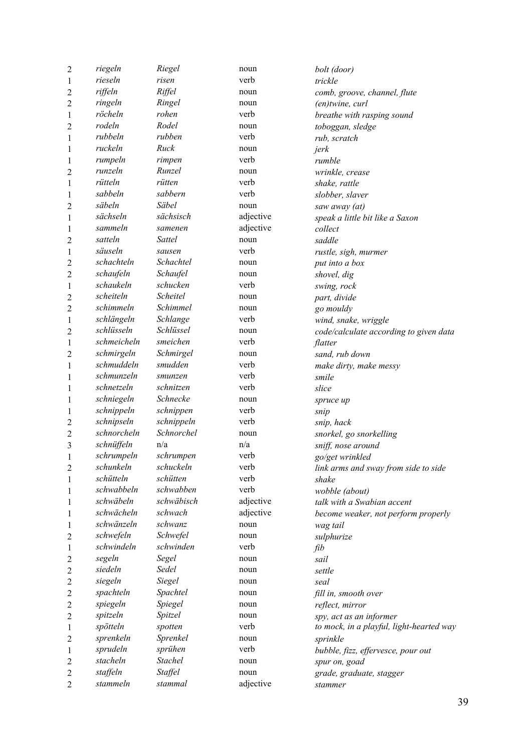| $\overline{2}$ | riegeln                  | Riegel     | noun         | bolt (door)                              |
|----------------|--------------------------|------------|--------------|------------------------------------------|
| 1              | rieseln                  | risen      | verb         | trickle                                  |
| $\overline{c}$ | riffeln                  | Riffel     | noun         | comb, groove, channel, flute             |
| 2              | ringeln                  | Ringel     | noun         | (en)twine, curl                          |
| 1              | röcheln                  | rohen      | verb         | breathe with rasping sound               |
| 2              | rodeln                   | Rodel      | noun         | toboggan, sledge                         |
| 1              | rubbeln                  | rubben     | verb         | rub, scratch                             |
| 1              | ruckeln                  | Ruck       | noun         | jerk                                     |
| 1              | rumpeln                  | rimpen     | verb         | rumble                                   |
| 2              | runzeln                  | Runzel     | noun         | wrinkle, crease                          |
| 1              | rütteln                  | rütten     | verb         | shake, rattle                            |
| 1              | sabbeln                  | sabbern    | verb         | slobber, slaver                          |
| 2              | säbeln                   | Säbel      | noun         | saw away (at)                            |
| 1              | sächseln                 | sächsisch  | adjective    | speak a little bit like a Saxon          |
| 1              | sammeln                  | samenen    | adjective    | collect                                  |
| 2              | satteln                  | Sattel     | noun         | saddle                                   |
| 1              | säuseln                  | sausen     | verb         | rustle, sigh, murmer                     |
| 2              | schachteln               | Schachtel  | noun         | put into a box                           |
| 2              | schaufeln                | Schaufel   | noun         | shovel, dig                              |
| 1              | schaukeln                | schucken   | verb         | swing, rock                              |
| 2              | scheiteln                | Scheitel   | noun         | part, divide                             |
| $\overline{c}$ | schimmeln                | Schimmel   | noun         |                                          |
|                | schlängeln               | Schlange   | verb         | go mouldy                                |
| 1              | schlüsseln               | Schlüssel  | noun         | wind, snake, wriggle                     |
| 2              | schmeicheln              | smeichen   | verb         | code/calculate according to given data   |
| 1              |                          | Schmirgel  |              | flatter                                  |
| 2              | schmirgeln<br>schmuddeln | smudden    | noun<br>verb | sand, rub down                           |
| 1              | schmunzeln               |            |              | make dirty, make messy                   |
| 1              |                          | smunzen    | verb         | smile                                    |
| 1              | schnetzeln               | schnitzen  | verb         | slice                                    |
| 1              | schniegeln               | Schnecke   | noun         | spruce up                                |
| 1              | schnippeln               | schnippen  | verb         | snip                                     |
| 2              | schnipseln               | schnippeln | verb         | snip, hack                               |
| 2              | schnorcheln              | Schnorchel | noun         | snorkel, go snorkelling                  |
| 3              | schnüffeln               | n/a        | n/a          | sniff, nose around                       |
| 1              | schrumpeln               | schrumpen  | verb         | go/get wrinkled                          |
| $\overline{2}$ | schunkeln                | schuckeln  | verb         | link arms and sway from side to side     |
| 1              | schütteln                | schütten   | verb         | shake                                    |
| 1              | schwabbeln               | schwabben  | verb         | wobble (about)                           |
| 1              | schwäbeln                | schwäbisch | adjective    | talk with a Swabian accent               |
| 1              | schwächeln               | schwach    | adjective    | become weaker, not perform properly      |
| 1              | schwänzeln               | schwanz    | noun         | wag tail                                 |
| $\overline{2}$ | schwefeln                | Schwefel   | noun         | sulphurize                               |
| 1              | schwindeln               | schwinden  | verb         | fib                                      |
| 2              | segeln                   | Segel      | noun         | sail                                     |
| $\overline{c}$ | siedeln                  | Sedel      | noun         | settle                                   |
| $\overline{c}$ | siegeln                  | Siegel     | noun         | seal                                     |
| $\overline{2}$ | spachteln                | Spachtel   | noun         | fill in, smooth over                     |
| 2              | spiegeln                 | Spiegel    | noun         | reflect, mirror                          |
| 2              | spitzeln                 | Spitzel    | noun         | spy, act as an informer                  |
| 1              | spötteln                 | spotten    | verb         | to mock, in a playful, light-hearted way |
| 2              | sprenkeln                | Sprenkel   | noun         | sprinkle                                 |
| 1              | sprudeln                 | sprühen    | verb         | bubble, fizz, effervesce, pour out       |
| 2              | stacheln                 | Stachel    | noun         | spur on, goad                            |
| $\overline{c}$ | staffeln                 | Staffel    | noun         | grade, graduate, stagger                 |
| 2              | stammeln                 | stammal    | adjective    | stammer                                  |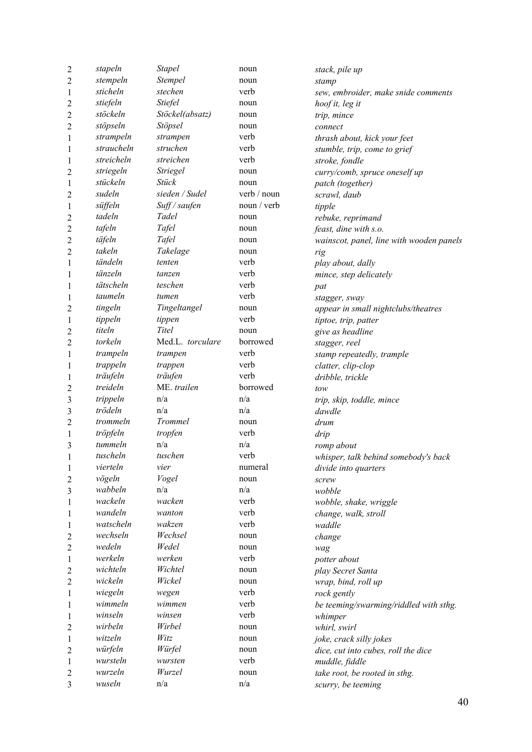| $\overline{2}$ | stapeln    | <b>Stapel</b>    | noun        | stack, pile up                           |
|----------------|------------|------------------|-------------|------------------------------------------|
| 2              | stempeln   | Stempel          | noun        | stamp                                    |
| 1              | sticheln   | stechen          | verb        | sew, embroider, make snide comments      |
| 2              | stiefeln   | Stiefel          | noun        | hoof it, leg it                          |
| 2              | stöckeln   | Stöckel(absatz)  | noun        | trip, mince                              |
| 2              | stöpseln   | Stöpsel          | noun        | connect                                  |
| 1              | strampeln  | strampen         | verb        | thrash about, kick your feet             |
| 1              | straucheln | struchen         | verb        | stumble, trip, come to grief             |
| 1              | streicheln | streichen        | verb        | stroke, fondle                           |
| 2              | striegeln  | Striegel         | noun        | curry/comb, spruce oneself up            |
| 1              | stückeln   | <b>Stück</b>     | noun        | patch (together)                         |
| 2              | sudeln     | sieden / Sudel   | verb / noun | scrawl, daub                             |
| 1              | süffeln    | Suff / saufen    | noun / verb | tipple                                   |
| 2              | tadeln     | Tadel            | noun        | rebuke, reprimand                        |
| 2              | tafeln     | Tafel            | noun        | feast, dine with s.o.                    |
| 2              | täfeln     | Tafel            | noun        | wainscot, panel, line with wooden panels |
| 2              | takeln     | Takelage         | noun        | rig                                      |
| 1              | tändeln    | tenten           | verb        | play about, dally                        |
| 1              | tänzeln    | tanzen           | verb        | mince, step delicately                   |
| 1              | tätscheln  | teschen          | verb        | pat                                      |
| 1              | taumeln    | tumen            | verb        | stagger, sway                            |
| 2              | tingeln    | Tingeltangel     | noun        | appear in small nightclubs/theatres      |
| 1              | tippeln    | tippen           | verb        | tiptoe, trip, patter                     |
| 2              | titeln     | Titel            | noun        | give as headline                         |
| 2              | torkeln    | Med.L. torculare | borrowed    | stagger, reel                            |
| 1              | trampeln   | trampen          | verb        | stamp repeatedly, trample                |
| 1              | trappeln   | trappen          | verb        | clatter, clip-clop                       |
| 1              | träufeln   | träufen          | verb        | dribble, trickle                         |
| 2              | treideln   | ME. trailen      | borrowed    | tow                                      |
| 3              | trippeln   | n/a              | n/a         | trip, skip, toddle, mince                |
| 3              | trödeln    | n/a              | n/a         | dawdle                                   |
| 2              | trommeln   | Trommel          | noun        | drum                                     |
| 1              | tröpfeln   | tropfen          | verb        | drip                                     |
| 3              | tummeln    | n/a              | n/a         | romp about                               |
| 1              | tuscheln   | tuschen          | verb        | whisper, talk behind somebody's back     |
| $\mathbf{1}$   | vierteln   | vier             | numeral     | divide into quarters                     |
| $\overline{2}$ | vögeln     | Vogel            | noun        | screw                                    |
| 3              | wabbeln    | n/a              | n/a         | wobble                                   |
| 1              | wackeln    | wacken           | verb        | wobble, shake, wriggle                   |
| 1              | wandeln    | wanton           | verb        | change, walk, stroll                     |
| 1              | watscheln  | wakzen           | verb        | waddle                                   |
| 2              | wechseln   | Wechsel          | noun        | change                                   |
| 2              | wedeln     | Wedel            | noun        | wag                                      |
| 1              | werkeln    | werken           | verb        | potter about                             |
| 2              | wichteln   | Wichtel          | noun        | play Secret Santa                        |
| 2              | wickeln    | Wickel           | noun        | wrap, bind, roll up                      |
| 1              | wiegeln    | wegen            | verb        | rock gently                              |
| 1              | wimmeln    | wimmen           | verb        | be teeming/swarming/riddled with sthg.   |
| 1              | winseln    | winsen           | verb        | whimper                                  |
| 2              | wirbeln    | Wirbel           | noun        | whirl, swirl                             |
| 1              | witzeln    | Witz             | noun        | joke, crack silly jokes                  |
| 2              | würfeln    | Würfel           | noun        | dice, cut into cubes, roll the dice      |
| 1              | wursteln   | wursten          | verb        | muddle, fiddle                           |
| 2              | wurzeln    | Wurzel           | noun        | take root, be rooted in sthg.            |
| 3              | wuseln     | n/a              | n/a         | scurry, be teeming                       |
|                |            |                  |             |                                          |